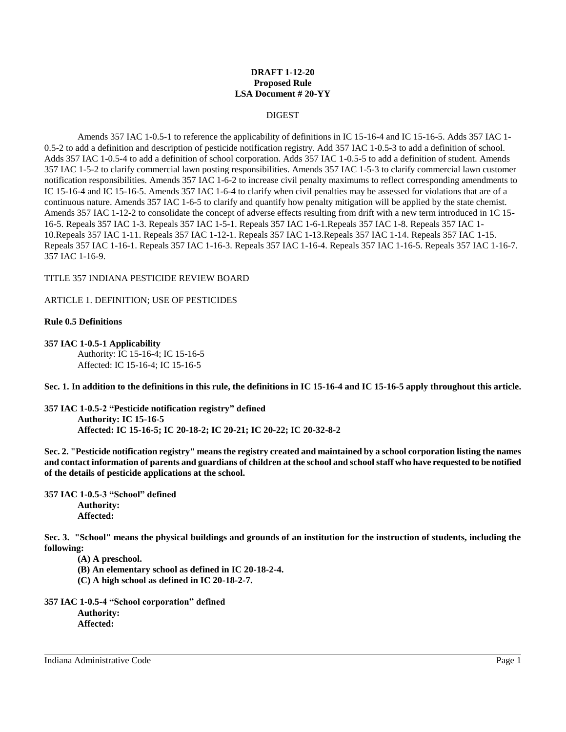## **DRAFT 1-12-20 Proposed Rule LSA Document # 20-YY**

## DIGEST

Amends 357 IAC 1-0.5-1 to reference the applicability of definitions in IC 15-16-4 and IC 15-16-5. Adds 357 IAC 1- 0.5-2 to add a definition and description of pesticide notification registry. Add 357 IAC 1-0.5-3 to add a definition of school. Adds 357 IAC 1-0.5-4 to add a definition of school corporation. Adds 357 IAC 1-0.5-5 to add a definition of student. Amends 357 IAC 1-5-2 to clarify commercial lawn posting responsibilities. Amends 357 IAC 1-5-3 to clarify commercial lawn customer notification responsibilities. Amends 357 IAC 1-6-2 to increase civil penalty maximums to reflect corresponding amendments to IC 15-16-4 and IC 15-16-5. Amends 357 IAC 1-6-4 to clarify when civil penalties may be assessed for violations that are of a continuous nature. Amends 357 IAC 1-6-5 to clarify and quantify how penalty mitigation will be applied by the state chemist. Amends 357 IAC 1-12-2 to consolidate the concept of adverse effects resulting from drift with a new term introduced in 1C 15- 16-5. Repeals 357 IAC 1-3. Repeals 357 IAC 1-5-1. Repeals 357 IAC 1-6-1.Repeals 357 IAC 1-8. Repeals 357 IAC 1- 10.Repeals 357 IAC 1-11. Repeals 357 IAC 1-12-1. Repeals 357 IAC 1-13.Repeals 357 IAC 1-14. Repeals 357 IAC 1-15. Repeals 357 IAC 1-16-1. Repeals 357 IAC 1-16-3. Repeals 357 IAC 1-16-4. Repeals 357 IAC 1-16-5. Repeals 357 IAC 1-16-7. 357 IAC 1-16-9.

# TITLE 357 INDIANA PESTICIDE REVIEW BOARD

# ARTICLE 1. DEFINITION; USE OF PESTICIDES

# **Rule 0.5 Definitions**

**357 IAC 1-0.5-1 Applicability** Authority: IC 15-16-4; IC 15-16-5 Affected: IC 15-16-4; IC 15-16-5

**Sec. 1. In addition to the definitions in this rule, the definitions in IC 15-16-4 and IC 15-16-5 apply throughout this article.**

**357 IAC 1-0.5-2 "Pesticide notification registry" defined Authority: IC 15-16-5 Affected: IC 15-16-5; IC 20-18-2; IC 20-21; IC 20-22; IC 20-32-8-2**

**Sec. 2. "Pesticide notification registry" means the registry created and maintained by a school corporation listing the names and contact information of parents and guardians of children at the school and school staff who have requested to be notified of the details of pesticide applications at the school.**

**357 IAC 1-0.5-3 "School" defined Authority: Affected:**

**Sec. 3. "School" means the physical buildings and grounds of an institution for the instruction of students, including the following:**

**(A) A preschool.**

**(B) An elementary school as defined in IC 20-18-2-4.**

**(C) A high school as defined in IC 20-18-2-7.**

**357 IAC 1-0.5-4 "School corporation" defined Authority: Affected:**

Indiana Administrative Code Page 1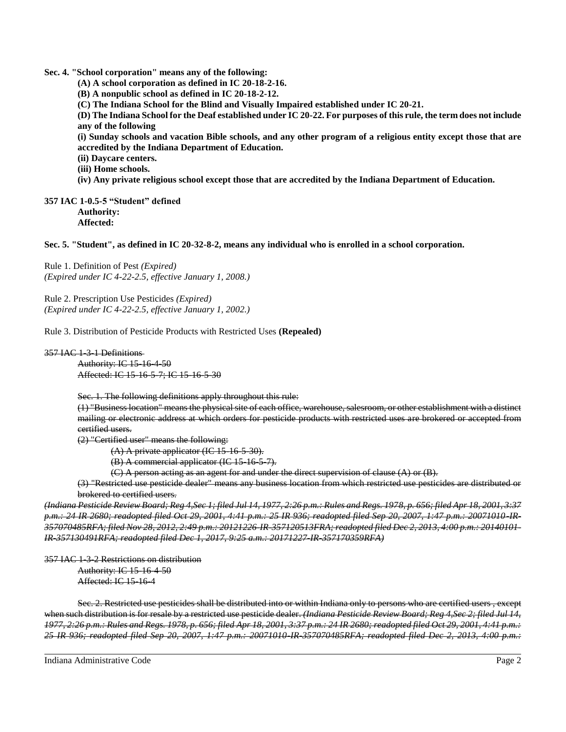**Sec. 4. "School corporation" means any of the following:**

**(A) A school corporation as defined in IC 20-18-2-16.**

**(B) A nonpublic school as defined in IC 20-18-2-12.**

**(C) The Indiana School for the Blind and Visually Impaired established under IC 20-21.**

**(D) The Indiana School for the Deaf established under IC 20-22. For purposes of this rule, the term does not include any of the following**

**(i) Sunday schools and vacation Bible schools, and any other program of a religious entity except those that are accredited by the Indiana Department of Education.**

**(ii) Daycare centers.**

**(iii) Home schools.**

**(iv) Any private religious school except those that are accredited by the Indiana Department of Education.**

**357 IAC 1-0.5-5 "Student" defined Authority: Affected:**

**Sec. 5. "Student", as defined in IC 20-32-8-2, means any individual who is enrolled in a school corporation.**

Rule 1. Definition of Pest *(Expired) (Expired under IC 4-22-2.5, effective January 1, 2008.)*

Rule 2. Prescription Use Pesticides *(Expired) (Expired under IC 4-22-2.5, effective January 1, 2002.)*

Rule 3. Distribution of Pesticide Products with Restricted Uses **(Repealed)**

### 357 IAC 1-3-1 Definitions

Authority: IC 15-16-4-50 Affected: IC 15-16-5-7; IC 15-16-5-30

Sec. 1. The following definitions apply throughout this rule:

(1) "Business location" means the physical site of each office, warehouse, salesroom, or other establishment with a distinct mailing or electronic address at which orders for pesticide products with restricted uses are brokered or accepted from certified users.

(2) "Certified user" means the following:

 $(A)$  A private applicator (IC 15-16-5-30).

(B) A commercial applicator (IC 15-16-5-7).

(C) A person acting as an agent for and under the direct supervision of clause (A) or (B).

(3) "Restricted use pesticide dealer" means any business location from which restricted use pesticides are distributed or brokered to certified users.

*(Indiana Pesticide Review Board; Reg 4,Sec 1; filed Jul 14, 1977, 2:26 p.m.: Rules and Regs. 1978, p. 656; filed Apr 18, 2001, 3:37 p.m.: 24 IR 2680; readopted filed Oct 29, 2001, 4:41 p.m.: 25 IR 936; readopted filed Sep 20, 2007, 1:47 p.m.: 20071010-IR-357070485RFA; filed Nov 28, 2012, 2:49 p.m.: 20121226-IR-357120513FRA; readopted filed Dec 2, 2013, 4:00 p.m.: 20140101- IR-357130491RFA; readopted filed Dec 1, 2017, 9:25 a.m.: 20171227-IR-357170359RFA)*

357 IAC 1-3-2 Restrictions on distribution

Authority: IC 15-16-4-50 Affected: IC 15-16-4

Sec. 2. Restricted use pesticides shall be distributed into or within Indiana only to persons who are certified users , except when such distribution is for resale by a restricted use pesticide dealer. *(Indiana Pesticide Review Board; Reg 4,Sec 2; filed Jul 14, 1977, 2:26 p.m.: Rules and Regs. 1978, p. 656; filed Apr 18, 2001, 3:37 p.m.: 24 IR 2680; readopted filed Oct 29, 2001, 4:41 p.m.: 25 IR 936; readopted filed Sep 20, 2007, 1:47 p.m.: 20071010-IR-357070485RFA; readopted filed Dec 2, 2013, 4:00 p.m.:*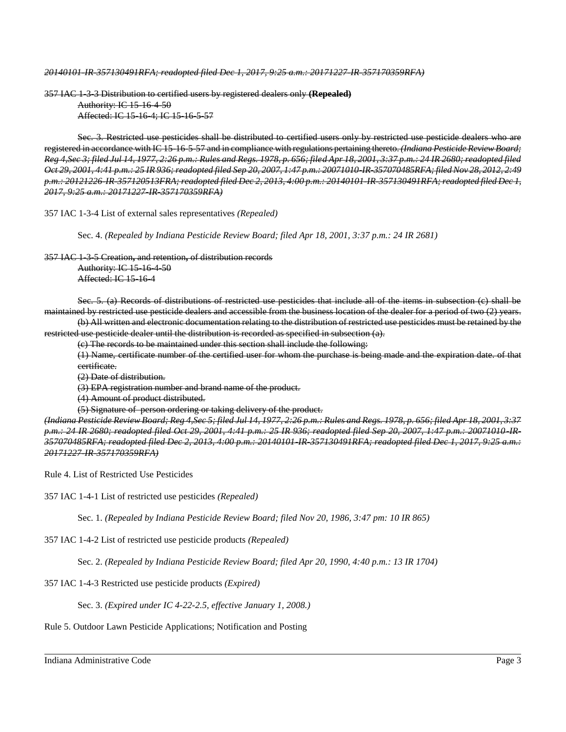*20140101-IR-357130491RFA; readopted filed Dec 1, 2017, 9:25 a.m.: 20171227-IR-357170359RFA)*

357 IAC 1-3-3 Distribution to certified users by registered dealers only **(Repealed)** Authority: IC 15-16-4-50

Affected: IC 15-16-4; IC 15-16-5-57

Sec. 3. Restricted use pesticides shall be distributed to certified users only by restricted use pesticide dealers who are registered in accordance with IC 15-16-5-57 and in compliance with regulations pertaining thereto. *(Indiana Pesticide Review Board; Reg 4,Sec 3; filed Jul 14, 1977, 2:26 p.m.: Rules and Regs. 1978, p. 656; filed Apr 18, 2001, 3:37 p.m.: 24 IR 2680; readopted filed Oct 29, 2001, 4:41 p.m.: 25 IR 936; readopted filed Sep 20, 2007, 1:47 p.m.: 20071010-IR-357070485RFA; filed Nov 28, 2012, 2:49 p.m.: 20121226-IR-357120513FRA; readopted filed Dec 2, 2013, 4:00 p.m.: 20140101-IR-357130491RFA; readopted filed Dec 1, 2017, 9:25 a.m.: 20171227-IR-357170359RFA)*

357 IAC 1-3-4 List of external sales representatives *(Repealed)*

Sec. 4. *(Repealed by Indiana Pesticide Review Board; filed Apr 18, 2001, 3:37 p.m.: 24 IR 2681)*

357 IAC 1-3-5 Creation**,** and retention**,** of distribution records Authority: IC 15-16-4-50 Affected: IC 15-16-4

Sec. 5. (a) Records of distributions of restricted use pesticides that include all of the items in subsection (c) shall be maintained by restricted use pesticide dealers and accessible from the business location of the dealer for a period of two (2) years.

(b) All written and electronic documentation relating to the distribution of restricted use pesticides must be retained by the restricted use pesticide dealer until the distribution is recorded as specified in subsection (a).

(c) The records to be maintained under this section shall include the following:

(1) Name, certificate number of the certified user for whom the purchase is being made and the expiration date. of that certificate.

(2) Date of distribution.

(3) EPA registration number and brand name of the product.

(4) Amount of product distributed.

(5) Signature of person ordering or taking delivery of the product.

*(Indiana Pesticide Review Board; Reg 4,Sec 5; filed Jul 14, 1977, 2:26 p.m.: Rules and Regs. 1978, p. 656; filed Apr 18, 2001, 3:37 p.m.: 24 IR 2680; readopted filed Oct 29, 2001, 4:41 p.m.: 25 IR 936; readopted filed Sep 20, 2007, 1:47 p.m.: 20071010-IR-357070485RFA; readopted filed Dec 2, 2013, 4:00 p.m.: 20140101-IR-357130491RFA; readopted filed Dec 1, 2017, 9:25 a.m.: 20171227-IR-357170359RFA)*

Rule 4. List of Restricted Use Pesticides

357 IAC 1-4-1 List of restricted use pesticides *(Repealed)*

Sec. 1. *(Repealed by Indiana Pesticide Review Board; filed Nov 20, 1986, 3:47 pm: 10 IR 865)*

357 IAC 1-4-2 List of restricted use pesticide products *(Repealed)*

Sec. 2. *(Repealed by Indiana Pesticide Review Board; filed Apr 20, 1990, 4:40 p.m.: 13 IR 1704)*

357 IAC 1-4-3 Restricted use pesticide products *(Expired)*

Sec. 3. *(Expired under IC 4-22-2.5, effective January 1, 2008.)*

Rule 5. Outdoor Lawn Pesticide Applications; Notification and Posting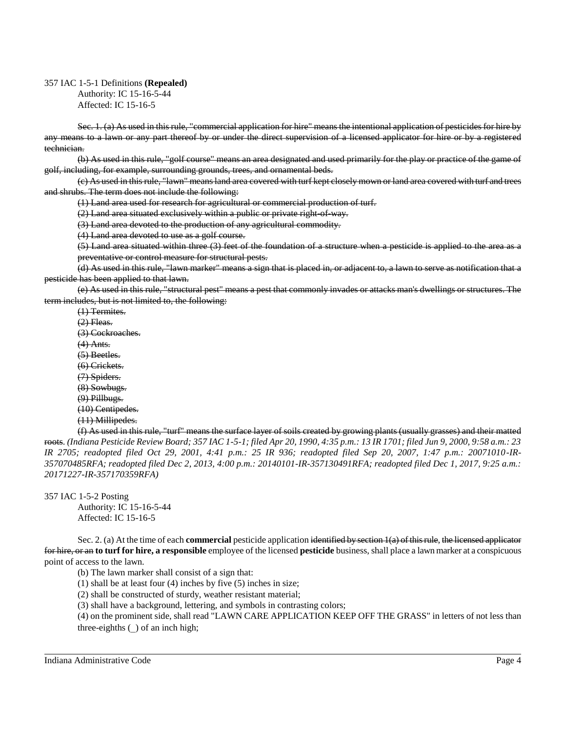### 357 IAC 1-5-1 Definitions **(Repealed)**

Authority: IC 15-16-5-44 Affected: IC 15-16-5

Sec. 1. (a) As used in this rule, "commercial application for hire" means the intentional application of pesticides for hire by any means to a lawn or any part thereof by or under the direct supervision of a licensed applicator for hire or by a registered technician.

(b) As used in this rule, "golf course" means an area designated and used primarily for the play or practice of the game of golf, including, for example, surrounding grounds, trees, and ornamental beds.

(c) As used in this rule, "lawn" means land area covered with turf kept closely mown or land area covered with turf and trees and shrubs. The term does not include the following:

(1) Land area used for research for agricultural or commercial production of turf.

(2) Land area situated exclusively within a public or private right-of-way.

(3) Land area devoted to the production of any agricultural commodity.

(4) Land area devoted to use as a golf course.

(5) Land area situated within three (3) feet of the foundation of a structure when a pesticide is applied to the area as a preventative or control measure for structural pests.

(d) As used in this rule, "lawn marker" means a sign that is placed in, or adjacent to, a lawn to serve as notification that a pesticide has been applied to that lawn.

(e) As used in this rule, "structural pest" means a pest that commonly invades or attacks man's dwellings or structures. The term includes, but is not limited to, the following:

(1) Termites.  $(2)$  Fleas. (3) Cockroaches. (4) Ants. (5) Beetles. (6) Crickets. (7) Spiders. (8) Sowbugs. (9) Pillbugs. (10) Centipedes. (11) Millipedes.

(f) As used in this rule, "turf" means the surface layer of soils created by growing plants (usually grasses) and their matted roots. *(Indiana Pesticide Review Board; 357 IAC 1-5-1; filed Apr 20, 1990, 4:35 p.m.: 13 IR 1701; filed Jun 9, 2000, 9:58 a.m.: 23 IR 2705; readopted filed Oct 29, 2001, 4:41 p.m.: 25 IR 936; readopted filed Sep 20, 2007, 1:47 p.m.: 20071010-IR-357070485RFA; readopted filed Dec 2, 2013, 4:00 p.m.: 20140101-IR-357130491RFA; readopted filed Dec 1, 2017, 9:25 a.m.: 20171227-IR-357170359RFA)*

357 IAC 1-5-2 Posting

Authority: IC 15-16-5-44 Affected: IC 15-16-5

Sec. 2. (a) At the time of each **commercial** pesticide application identified by section 1(a) of this rule, the licensed applicator for hire, or an **to turf for hire, a responsible** employee of the licensed **pesticide** business, shall place a lawn marker at a conspicuous point of access to the lawn.

(b) The lawn marker shall consist of a sign that:

(1) shall be at least four (4) inches by five (5) inches in size;

(2) shall be constructed of sturdy, weather resistant material;

(3) shall have a background, lettering, and symbols in contrasting colors;

(4) on the prominent side, shall read "LAWN CARE APPLICATION KEEP OFF THE GRASS" in letters of not less than three-eighths  $\bigcirc$  of an inch high;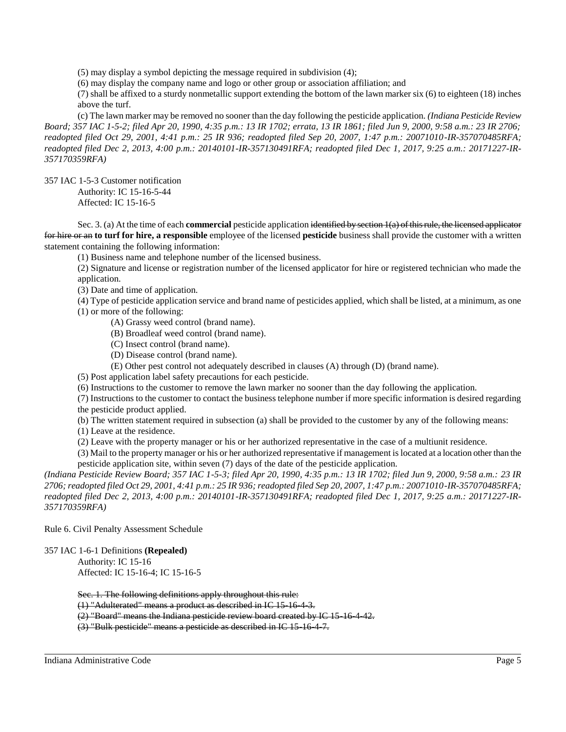(5) may display a symbol depicting the message required in subdivision (4);

(6) may display the company name and logo or other group or association affiliation; and

(7) shall be affixed to a sturdy nonmetallic support extending the bottom of the lawn marker six (6) to eighteen (18) inches above the turf.

(c) The lawn marker may be removed no sooner than the day following the pesticide application. *(Indiana Pesticide Review Board; 357 IAC 1-5-2; filed Apr 20, 1990, 4:35 p.m.: 13 IR 1702; errata, 13 IR 1861; filed Jun 9, 2000, 9:58 a.m.: 23 IR 2706; readopted filed Oct 29, 2001, 4:41 p.m.: 25 IR 936; readopted filed Sep 20, 2007, 1:47 p.m.: 20071010-IR-357070485RFA; readopted filed Dec 2, 2013, 4:00 p.m.: 20140101-IR-357130491RFA; readopted filed Dec 1, 2017, 9:25 a.m.: 20171227-IR-357170359RFA)*

357 IAC 1-5-3 Customer notification

Authority: IC 15-16-5-44 Affected: IC 15-16-5

Sec. 3. (a) At the time of each **commercial** pesticide application identified by section 1(a) of this rule, the licensed applicator for hire or an **to turf for hire, a responsible** employee of the licensed **pesticide** business shall provide the customer with a written statement containing the following information:

(1) Business name and telephone number of the licensed business.

(2) Signature and license or registration number of the licensed applicator for hire or registered technician who made the application.

(3) Date and time of application.

(4) Type of pesticide application service and brand name of pesticides applied, which shall be listed, at a minimum, as one (1) or more of the following:

(A) Grassy weed control (brand name).

(B) Broadleaf weed control (brand name).

(C) Insect control (brand name).

(D) Disease control (brand name).

(E) Other pest control not adequately described in clauses (A) through (D) (brand name).

(5) Post application label safety precautions for each pesticide.

(6) Instructions to the customer to remove the lawn marker no sooner than the day following the application.

(7) Instructions to the customer to contact the business telephone number if more specific information is desired regarding the pesticide product applied.

(b) The written statement required in subsection (a) shall be provided to the customer by any of the following means:

(1) Leave at the residence.

(2) Leave with the property manager or his or her authorized representative in the case of a multiunit residence.

(3) Mail to the property manager or his or her authorized representative if management is located at a location other than the pesticide application site, within seven (7) days of the date of the pesticide application.

*(Indiana Pesticide Review Board; 357 IAC 1-5-3; filed Apr 20, 1990, 4:35 p.m.: 13 IR 1702; filed Jun 9, 2000, 9:58 a.m.: 23 IR 2706; readopted filed Oct 29, 2001, 4:41 p.m.: 25 IR 936; readopted filed Sep 20, 2007, 1:47 p.m.: 20071010-IR-357070485RFA; readopted filed Dec 2, 2013, 4:00 p.m.: 20140101-IR-357130491RFA; readopted filed Dec 1, 2017, 9:25 a.m.: 20171227-IR-357170359RFA)*

Rule 6. Civil Penalty Assessment Schedule

357 IAC 1-6-1 Definitions **(Repealed)**

Authority: IC 15-16 Affected: IC 15-16-4; IC 15-16-5

Sec. 1. The following definitions apply throughout this rule:

(1) "Adulterated" means a product as described in IC 15-16-4-3.

(2) "Board" means the Indiana pesticide review board created by IC 15-16-4-42.

(3) "Bulk pesticide" means a pesticide as described in IC 15-16-4-7.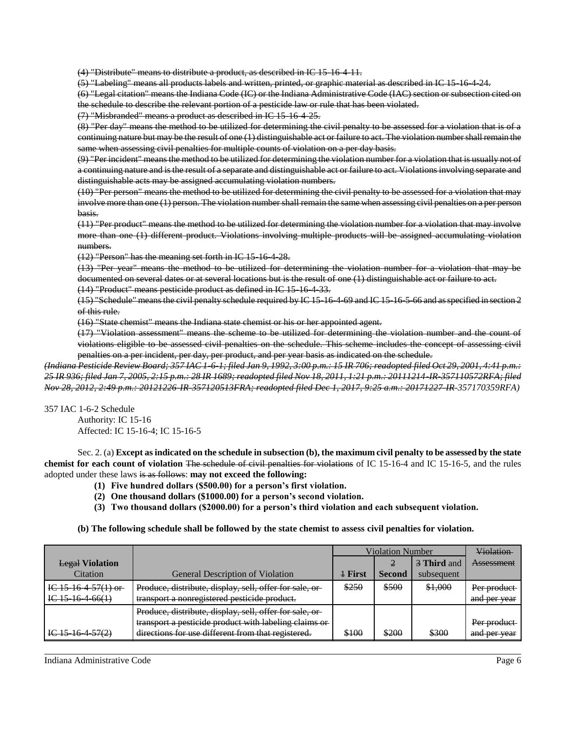(4) "Distribute" means to distribute a product, as described in IC 15-16-4-11.

(5) "Labeling" means all products labels and written, printed, or graphic material as described in IC 15-16-4-24.

(6) "Legal citation" means the Indiana Code (IC) or the Indiana Administrative Code (IAC) section or subsection cited on the schedule to describe the relevant portion of a pesticide law or rule that has been violated.

```
(7) "Misbranded" means a product as described in IC 15-16-4-25.
```
(8) "Per day" means the method to be utilized for determining the civil penalty to be assessed for a violation that is of a continuing nature but may be the result of one (1) distinguishable act or failure to act. The violation number shall remain the same when assessing civil penalties for multiple counts of violation on a per day basis.

(9) "Per incident" means the method to be utilized for determining the violation number for a violation that is usually not of a continuing nature and is the result of a separate and distinguishable act or failure to act. Violations involving separate and distinguishable acts may be assigned accumulating violation numbers.

(10) "Per person" means the method to be utilized for determining the civil penalty to be assessed for a violation that may involve more than one (1) person. The violation number shall remain the same when assessing civil penalties on a per person basis.

(11) "Per product" means the method to be utilized for determining the violation number for a violation that may involve more than one (1) different product. Violations involving multiple products will be assigned accumulating violation numbers.

(12) "Person" has the meaning set forth in IC 15-16-4-28.

(13) "Per year" means the method to be utilized for determining the violation number for a violation that may be documented on several dates or at several locations but is the result of one (1) distinguishable act or failure to act.

(14) "Product" means pesticide product as defined in IC 15-16-4-33.

(15) "Schedule" means the civil penalty schedule required by IC 15-16-4-69 and IC 15-16-5-66 and as specified in section 2 of this rule.

(16) "State chemist" means the Indiana state chemist or his or her appointed agent.

(17) "Violation assessment" means the scheme to be utilized for determining the violation number and the count of violations eligible to be assessed civil penalties on the schedule. This scheme includes the concept of assessing civil penalties on a per incident, per day, per product, and per year basis as indicated on the schedule.

*(Indiana Pesticide Review Board; 357 IAC 1-6-1; filed Jan 9, 1992, 3:00 p.m.: 15 IR 706; readopted filed Oct 29, 2001, 4:41 p.m.: 25 IR 936; filed Jan 7, 2005, 2:15 p.m.: 28 IR 1689; readopted filed Nov 18, 2011, 1:21 p.m.: 20111214-IR-357110572RFA; filed Nov 28, 2012, 2:49 p.m.: 20121226-IR-357120513FRA; readopted filed Dec 1, 2017, 9:25 a.m.: 20171227-IR-357170359RFA)*

357 IAC 1-6-2 Schedule

Authority: IC 15-16 Affected: IC 15-16-4; IC 15-16-5

Sec. 2. (a) **Except as indicated on the schedule in subsection (b), the maximum civil penalty to be assessed by the state chemist for each count of violation** The schedule of civil penalties for violations of IC 15-16-4 and IC 15-16-5, and the rules adopted under these laws is as follows: **may not exceed the following:**

- **(1) Five hundred dollars (\$500.00) for a person's first violation.**
- **(2) One thousand dollars (\$1000.00) for a person's second violation.**
- **(3) Two thousand dollars (\$2000.00) for a person's third violation and each subsequent violation.**

**(b) The following schedule shall be followed by the state chemist to assess civil penalties for violation.**

|                          |                                                         | <b>Violation Number</b> |               |             | <b>Violation</b> |
|--------------------------|---------------------------------------------------------|-------------------------|---------------|-------------|------------------|
| <b>Legal Violation</b>   |                                                         |                         | 2             | 3 Third and | Assessment       |
| Citation                 | <b>General Description of Violation</b>                 | $+$ First               | <b>Second</b> | subsequent  |                  |
| IC $15\,16\,4\,57(1)$ or | Produce, distribute, display, sell, offer for sale, or- | \$250                   | \$500         | \$1,000     | Per product      |
| $IC$ 15 16 4 66(1)       | transport a nonregistered pesticide product.            |                         |               |             | and per year     |
|                          | Produce, distribute, display, sell, offer for sale, or  |                         |               |             |                  |
|                          | transport a pesticide product with labeling claims or   |                         |               |             | Per product      |
| $1C$ 15 16 4 57(2)       | directions for use different from that registered.      | \$100                   | \$200         | \$300       | and per year     |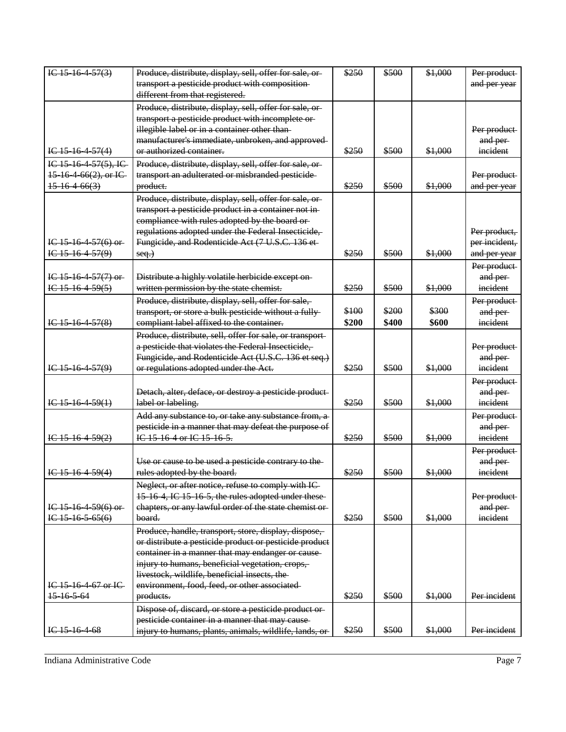| IC $15\,16\,4\,57(3)$     | Produce, distribute, display, sell, offer for sale, or-  | \$250 | \$500 | \$1,000 | Per product   |
|---------------------------|----------------------------------------------------------|-------|-------|---------|---------------|
|                           | transport a pesticide product with composition-          |       |       |         | and per year  |
|                           | different from that registered.                          |       |       |         |               |
|                           | Produce, distribute, display, sell, offer for sale, or-  |       |       |         |               |
|                           | transport a pesticide product with incomplete or-        |       |       |         |               |
|                           | illegible label or in a container other than-            |       |       |         | Per product   |
|                           | manufacturer's immediate, unbroken, and approved-        |       |       |         | and per-      |
| $1C$ 15 16 4 57(4)        | or authorized container.                                 | \$250 | \$500 | \$1,000 | incident      |
| $IC$ 15 16 4 57(5), IC    | Produce, distribute, display, sell, offer for sale, or-  |       |       |         |               |
| $15\,16\,4\,66(2), or IC$ | transport an adulterated or misbranded pesticide-        |       |       |         | Per product   |
| 15.16.466(3)              | product.                                                 | \$250 | \$500 | \$1,000 | and per year  |
|                           | Produce, distribute, display, sell, offer for sale, or-  |       |       |         |               |
|                           | transport a pesticide product in a container not in-     |       |       |         |               |
|                           | compliance with rules adopted by the board or-           |       |       |         |               |
|                           | regulations adopted under the Federal Insecticide,       |       |       |         | Per product,  |
| $IC$ 15 16 4 57(6) or     | Fungicide, and Rodenticide Act (7 U.S.C. 136 et-         |       |       |         | per incident, |
| IC $15\,16\,4\,57(9)$     | $seq.$ )                                                 | \$250 | \$500 | \$1,000 | and per year  |
|                           |                                                          |       |       |         | Per product   |
| IC $15\,16\,4\,57(7)$ or  | Distribute a highly volatile herbicide except on-        |       |       |         | and per-      |
| $IG-15-16-4-59(5)$        | written permission by the state chemist.                 | \$250 | \$500 | \$1,000 | incident      |
|                           | Produce, distribute, display, sell, offer for sale,      |       |       |         | Per product   |
|                           | transport, or store a bulk pesticide without a fully-    | \$100 | \$200 | \$300   | and per-      |
| IC $15\,16\,4\,57(8)$     | compliant label affixed to the container.                | \$200 | \$400 | \$600   | incident      |
|                           | Produce, distribute, sell, offer for sale, or transport- |       |       |         |               |
|                           | a pesticide that violates the Federal Insecticide,       |       |       |         | Per product   |
|                           | Fungicide, and Rodenticide Act (U.S.C. 136 et seq.)      |       |       |         | and per-      |
| $IC$ 15 16 4 57(9)        | or regulations adopted under the Act.                    | \$250 | \$500 | \$1,000 | incident      |
|                           |                                                          |       |       |         | Per product   |
|                           | Detach, alter, deface, or destroy a pesticide product-   |       |       |         | and per-      |
| $IC$ 15 16 4 59(1)        | label or labeling.                                       | \$250 | \$500 | \$1,000 | incident      |
|                           | Add any substance to, or take any substance from, a-     |       |       |         | Per product   |
|                           | pesticide in a manner that may defeat the purpose of     |       |       |         | and per-      |
| $I C 15 - 16 - 4 - 59(2)$ | IC 15-16-4 or IC 15-16-5.                                | \$250 | \$500 | \$1,000 | incident      |
|                           |                                                          |       |       |         | Per product   |
|                           | Use or cause to be used a pesticide contrary to the-     |       |       |         | and per       |
| IC $15\,16\,4\,59(4)$     | rules adopted by the board.                              | \$250 | \$500 | \$1,000 | incident      |
|                           | Neglect, or after notice, refuse to comply with IC-      |       |       |         |               |
|                           | 15-16-4, IC 15-16-5, the rules adopted under these-      |       |       |         | Per product   |
| IC $15\,16\,4\,59(6)$ or  | chapters, or any lawful order of the state chemist or-   |       |       |         | and per-      |
| $IC$ 15 16 5 65(6)        | board.                                                   | \$250 | \$500 | \$1,000 | incident      |
|                           | Produce, handle, transport, store, display, dispose,     |       |       |         |               |
|                           | or distribute a pesticide product or pesticide product   |       |       |         |               |
|                           | container in a manner that may endanger or cause-        |       |       |         |               |
|                           | injury to humans, beneficial vegetation, crops,          |       |       |         |               |
|                           | livestock, wildlife, beneficial insects, the             |       |       |         |               |
| IC 15-16-4-67 or IC       | environment, food, feed, or other associated-            |       |       |         |               |
| 15 16 5 64                | products.                                                | \$250 | \$500 | \$1,000 | Per incident  |
|                           | Dispose of, discard, or store a pesticide product or-    |       |       |         |               |
|                           | pesticide container in a manner that may cause-          |       |       |         |               |
| IC <sub>15</sub> 16 4 68  | injury to humans, plants, animals, wildlife, lands, or-  | \$250 | \$500 | \$1,000 | Per incident  |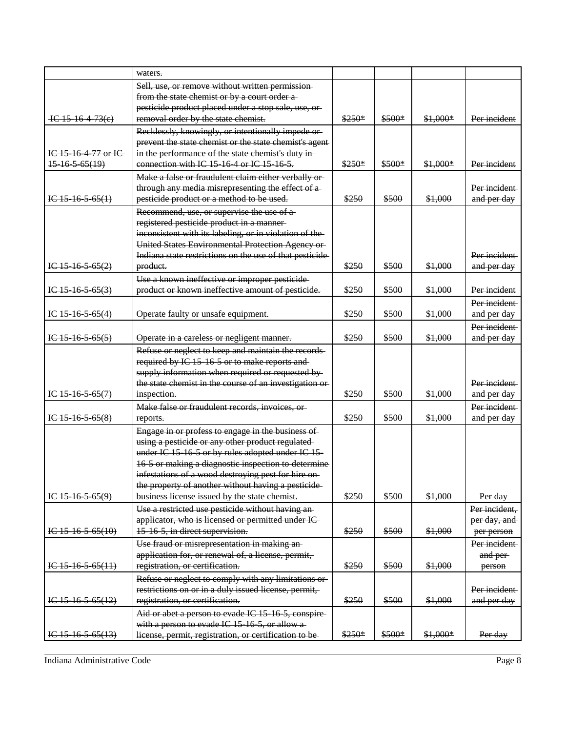|                          | waters.                                                  |         |        |           |               |
|--------------------------|----------------------------------------------------------|---------|--------|-----------|---------------|
|                          | Sell, use, or remove without written permission-         |         |        |           |               |
|                          | from the state chemist or by a court order a-            |         |        |           |               |
|                          | pesticide product placed under a stop sale, use, or-     |         |        |           |               |
| $-$ IC 15 16 4 73(e)     | removal order by the state chemist.                      | $$250*$ | \$500* | \$1,000*  | Per incident  |
|                          | Recklessly, knowingly, or intentionally impede or-       |         |        |           |               |
|                          | prevent the state chemist or the state chemist's agent-  |         |        |           |               |
| IC 15 16 4 77 or IC      | in the performance of the state chemist's duty in        |         |        |           |               |
| $15-16-5-65(19)$         | connection with IC 15 16 4 or IC 15 16 5.                | \$250*  | \$500* | $$1,000*$ | Per incident  |
|                          | Make a false or fraudulent claim either verbally or-     |         |        |           |               |
|                          | through any media misrepresenting the effect of a-       |         |        |           | Per incident  |
| IC $15\,16\,5\,65(1)$    | pesticide product or a method to be used.                | \$250   | \$500  | \$1,000   | and per day   |
|                          | Recommend, use, or supervise the use of a-               |         |        |           |               |
|                          | registered pesticide product in a manner-                |         |        |           |               |
|                          | inconsistent with its labeling, or in violation of the-  |         |        |           |               |
|                          | United States Environmental Protection Agency or-        |         |        |           |               |
|                          | Indiana state restrictions on the use of that pesticide- |         |        |           | Per incident  |
| IC $15$ $16$ $5$ $65(2)$ | product.                                                 | \$250   | \$500  | \$1,000   | and per day   |
|                          | Use a known ineffective or improper pesticide-           |         |        |           |               |
| $1C$ -15-16-5-65(3)      | product or known ineffective amount of pesticide.        | \$250   | \$500  | \$1,000   | Per incident  |
|                          |                                                          |         |        |           | Per incident  |
| $IC$ 15 16 5 65(4)       | Operate faulty or unsafe equipment.                      | \$250   | \$500  | \$1,000   | and per day   |
|                          |                                                          |         |        |           | Per incident  |
| IC $15\,16\,5\,65(5)$    | Operate in a careless or negligent manner.               | \$250   | \$500  | \$1,000   | and per day   |
|                          | Refuse or neglect to keep and maintain the records-      |         |        |           |               |
|                          | required by IC 15 16 5 or to make reports and-           |         |        |           |               |
|                          | supply information when required or requested by-        |         |        |           |               |
|                          | the state chemist in the course of an investigation or-  |         |        |           | Per incident  |
| IC $15$ $16$ $5$ $65(7)$ | inspection.                                              | \$250   | \$500  | \$1,000   | and per day   |
|                          | Make false or fraudulent records, invoices, or-          |         |        |           | Per incident  |
| IC $15\,16\,5\,65(8)$    | reports.                                                 | \$250   | \$500  | \$1,000   | and per day   |
|                          | Engage in or profess to engage in the business of        |         |        |           |               |
|                          | using a pesticide or any other product regulated         |         |        |           |               |
|                          | under IC 15 16 5 or by rules adopted under IC 15-        |         |        |           |               |
|                          | 16 5 or making a diagnostic inspection to determine      |         |        |           |               |
|                          | infestations of a wood destroying pest for hire on-      |         |        |           |               |
|                          | the property of another without having a pesticide-      |         |        |           |               |
| $1C$ -15-16-5-65(9)      | business license issued by the state chemist.            | \$250   | \$500  | \$1,000   | Per day       |
|                          | Use a restricted use pesticide without having an-        |         |        |           | Per incident, |
|                          | applicator, who is licensed or permitted under IC-       |         |        |           | per day, and  |
| I C 15 16 5 65(10)       | 15 16 5, in direct supervision.                          | \$250   | \$500  | \$1,000   | per person    |
|                          | Use fraud or misrepresentation in making an-             |         |        |           | Per incident  |
|                          | application for, or renewal of, a license, permit,       |         |        |           | and per-      |
| IC $15\,16\,5\,65(11)$   | registration, or certification.                          | \$250   | \$500  | \$1,000   | person        |
|                          | Refuse or neglect to comply with any limitations or-     |         |        |           |               |
|                          | restrictions on or in a duly issued license, permit,     |         |        |           | Per incident  |
| IC $15\,16\,5\,65(12)$   | registration, or certification.                          | \$250   | \$500  | \$1,000   | and per day   |
|                          | Aid or abet a person to evade IC 15-16-5, conspire-      |         |        |           |               |
|                          | with a person to evade IC 15 16 5, or allow a            |         |        |           |               |
| IC $15\,16\,5\,65(13)$   | license, permit, registration, or certification to be-   | $$250*$ | \$500* | \$1,000*  | Per day       |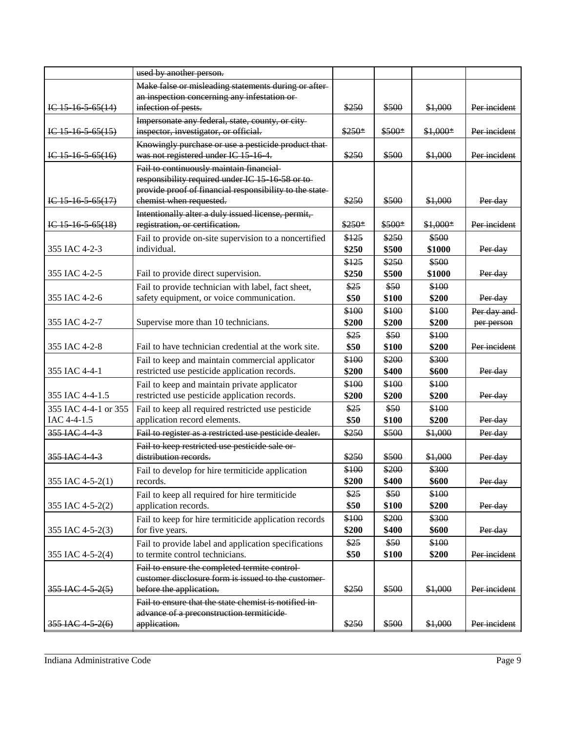|                        | used by another person.                                                 |         |         |           |              |
|------------------------|-------------------------------------------------------------------------|---------|---------|-----------|--------------|
|                        | Make false or misleading statements during or after-                    |         |         |           |              |
|                        | an inspection concerning any infestation or-                            |         |         |           |              |
| IC $15\,16\,5\,65(14)$ | infection of pests.                                                     | \$250   | \$500   | \$1,000   | Per incident |
|                        | Impersonate any federal, state, county, or city-                        |         |         |           |              |
| $1C$ 15 16 5 65(15)    | inspector, investigator, or official.                                   | $$250*$ | $$500*$ | $$1,000*$ | Per incident |
|                        | Knowingly purchase or use a pesticide product that-                     |         |         |           |              |
| $IC$ 15 16 5 65(16)    | was not registered under IC 15 16 4.                                    | \$250   | \$500   | \$1,000   | Per incident |
|                        | Fail to continuously maintain financial-                                |         |         |           |              |
|                        | responsibility required under IC 15 16 58 or to-                        |         |         |           |              |
|                        | provide proof of financial responsibility to the state-                 |         |         |           |              |
| $1C$ -15-16-5-65(17)   | chemist when requested.                                                 | \$250   | \$500   | \$1,000   | Per day      |
|                        | Intentionally alter a duly issued license, permit,                      |         |         |           |              |
| IC $15\,16\,5\,65(18)$ | registration, or certification.                                         | \$250*  | $$500*$ | \$1,000*  | Per incident |
|                        | Fail to provide on-site supervision to a noncertified                   | \$125   | \$250   | \$500     |              |
| 355 IAC 4-2-3          | individual.                                                             | \$250   | \$500   | \$1000    | Per day      |
|                        |                                                                         | \$125   | \$250   | \$500     |              |
| 355 IAC 4-2-5          | Fail to provide direct supervision.                                     | \$250   | \$500   | \$1000    | Per day      |
|                        | Fail to provide technician with label, fact sheet,                      | \$25    | \$50    | \$100     |              |
| 355 IAC 4-2-6          | safety equipment, or voice communication.                               | \$50    | \$100   | \$200     | Per day      |
|                        |                                                                         | \$100   | \$100   | \$100     | Per day and  |
| 355 IAC 4-2-7          | Supervise more than 10 technicians.                                     | \$200   | \$200   | \$200     | per person   |
|                        |                                                                         | \$25    | \$50    | \$100     |              |
| 355 IAC 4-2-8          | Fail to have technician credential at the work site.                    | \$50    | \$100   | \$200     | Per incident |
|                        | Fail to keep and maintain commercial applicator                         | \$100   | \$200   | \$300     |              |
| 355 IAC 4-4-1          | restricted use pesticide application records.                           | \$200   | \$400   | \$600     | Per day      |
|                        | Fail to keep and maintain private applicator                            | \$100   | \$100   | \$100     |              |
| 355 IAC 4-4-1.5        | restricted use pesticide application records.                           | \$200   | \$200   | \$200     | Per day      |
| 355 IAC 4-4-1 or 355   | Fail to keep all required restricted use pesticide                      | \$25    | \$50    | \$100     |              |
| IAC 4-4-1.5            | application record elements.                                            | \$50    | \$100   | \$200     | Per day      |
|                        |                                                                         |         |         |           |              |
| 355 IAC 4 4 3          | Fail to register as a restricted use pesticide dealer.                  | \$250   | \$500   | \$1,000   | Per day      |
|                        | Fail to keep restricted use pesticide sale or-<br>distribution records. |         |         |           |              |
| 355 IAC 4 4 3          |                                                                         | \$250   | \$500   | \$1,000   | Per day      |
|                        | Fail to develop for hire termiticide application                        | \$100   | \$200   | \$300     |              |
| 355 IAC 4-5-2(1)       | records.                                                                | \$200   | \$400   | \$600     | Per day      |
|                        | Fail to keep all required for hire termiticide                          | \$25    | \$50    | \$100     |              |
| 355 IAC 4-5-2(2)       | application records.                                                    | \$50    | \$100   | \$200     | Per day      |
|                        | Fail to keep for hire termiticide application records                   | \$100   | \$200   | \$300     |              |
| 355 IAC 4-5-2(3)       | for five years.                                                         | \$200   | \$400   | \$600     | Per day      |
|                        | Fail to provide label and application specifications                    | \$25    | \$50    | \$100     |              |
| 355 IAC 4-5-2(4)       | to termite control technicians.                                         | \$50    | \$100   | \$200     | Per incident |
|                        | Fail to ensure the completed termite control-                           |         |         |           |              |
|                        | eustomer disclosure form is issued to the customer-                     |         |         |           |              |
| 355 IAC 4 5 2(5)       | before the application.                                                 | \$250   | \$500   | \$1,000   | Per incident |
|                        | Fail to ensure that the state chemist is notified in-                   |         |         |           |              |
|                        | advance of a preconstruction termiticide-                               |         |         |           |              |
| 355 IAC 4 5 2(6)       | application.                                                            | \$250   | \$500   | \$1,000   | Per incident |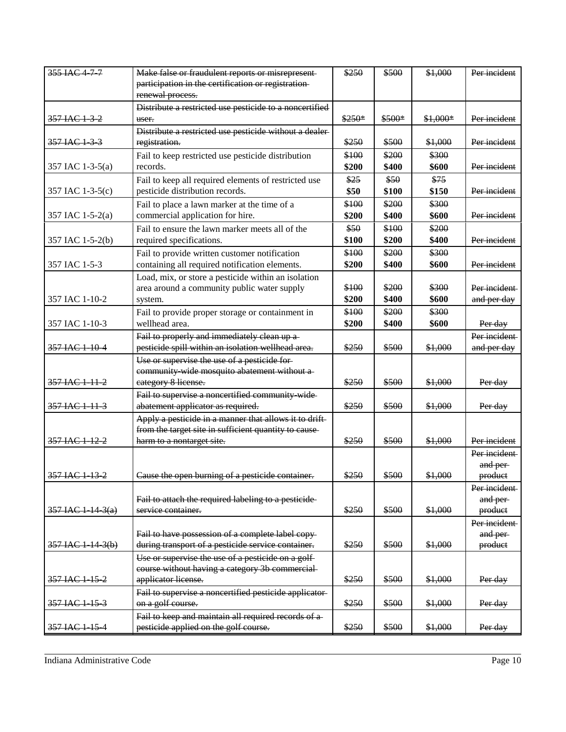| 355 IAC 477         | Make false or fraudulent reports or misrepresent-                      | \$250   | \$500   | \$1,000   | Per incident        |
|---------------------|------------------------------------------------------------------------|---------|---------|-----------|---------------------|
|                     | participation in the certification or registration-                    |         |         |           |                     |
|                     | renewal process.                                                       |         |         |           |                     |
|                     | Distribute a restricted use pesticide to a noncertified                |         |         |           |                     |
| 357 IAC 1 3 2       | user.                                                                  | $$250*$ | $$500*$ | $$1,000*$ | Per incident        |
|                     | Distribute a restricted use pesticide without a dealer-                |         |         |           |                     |
| 357 IAC 1-3-3       | registration.                                                          | \$250   | \$500   | \$1,000   | Per incident        |
|                     | Fail to keep restricted use pesticide distribution                     | \$100   | \$200   | \$300     |                     |
| 357 IAC 1-3-5(a)    | records.                                                               | \$200   | \$400   | \$600     | Per incident        |
|                     | Fail to keep all required elements of restricted use                   | \$25    | \$50    | \$75      |                     |
| 357 IAC 1-3-5(c)    | pesticide distribution records.                                        | \$50    | \$100   | \$150     | Per incident        |
|                     | Fail to place a lawn marker at the time of a                           | \$100   | \$200   | \$300     |                     |
| 357 IAC 1-5-2(a)    | commercial application for hire.                                       | \$200   | \$400   | \$600     | Per incident        |
|                     | Fail to ensure the lawn marker meets all of the                        | \$50    | \$100   | \$200     |                     |
| 357 IAC 1-5-2(b)    | required specifications.                                               | \$100   | \$200   | \$400     | Per incident        |
|                     |                                                                        | \$100   | \$200   | \$300     |                     |
|                     | Fail to provide written customer notification                          | \$200   | \$400   | \$600     | Per incident        |
| 357 IAC 1-5-3       | containing all required notification elements.                         |         |         |           |                     |
|                     | Load, mix, or store a pesticide within an isolation                    | \$100   | \$200   | \$300     | Per incident        |
| 357 IAC 1-10-2      | area around a community public water supply                            | \$200   | \$400   | \$600     |                     |
|                     | system.                                                                |         |         |           | and per day         |
|                     | Fail to provide proper storage or containment in                       | \$100   | \$200   | \$300     |                     |
| 357 IAC 1-10-3      | wellhead area.                                                         | \$200   | \$400   | \$600     | Per day             |
|                     | Fail to properly and immediately clean up a-                           |         |         |           | Per incident        |
| 357 IAC 1 10 4      | pesticide spill within an isolation wellhead area.                     | \$250   | \$500   | \$1,000   | and per day         |
|                     | Use or supervise the use of a pesticide for-                           |         |         |           |                     |
|                     | community wide mosquito abatement without a-                           |         |         |           |                     |
| 357 IAC 1 11 2      | eategory 8 license.                                                    | \$250   | \$500   | \$1,000   | Per day             |
|                     | Fail to supervise a noncertified community wide-                       |         |         |           |                     |
| 357 IAC 1 11 3      | abatement applicator as required.                                      | \$250   | \$500   | \$1,000   | Per day             |
|                     | Apply a pesticide in a manner that allows it to drift-                 |         |         |           |                     |
|                     | from the target site in sufficient quantity to cause-                  |         |         |           |                     |
| 357 IAC 1 12 2      | harm to a nontarget site.                                              | \$250   | \$500   | \$1,000   | Per incident        |
|                     |                                                                        |         |         |           | Per incident        |
| 357 IAC 1 13 2      |                                                                        |         |         |           | and per-            |
|                     | Cause the open burning of a pesticide container.                       | \$250   | \$500   | \$1,000   | product             |
|                     |                                                                        |         |         |           | Per incident        |
|                     | Fail to attach the required labeling to a pesticide-                   | \$250   | \$500   | \$1,000   | and per-            |
| $357$ IAC 1-14-3(a) | service container.                                                     |         |         |           | product             |
|                     |                                                                        |         |         |           | Per incident        |
|                     | Fail to have possession of a complete label copy-                      | \$250   | \$500   | \$1,000   | and per-<br>product |
| $357$ IAC 1 14 3(b) | during transport of a pesticide service container.                     |         |         |           |                     |
|                     | Use or supervise the use of a pesticide on a golf-                     |         |         |           |                     |
| 357 IAC 1 15 2      | course without having a category 3b commercial-<br>applicator license. | \$250   | \$500   | \$1,000   |                     |
|                     |                                                                        |         |         |           | Per day             |
|                     | Fail to supervise a noncertified pesticide applicator-                 |         |         |           |                     |
| 357 IAC 1 15 3      | on a golf course.                                                      | \$250   | \$500   | \$1,000   | Per day             |
|                     | Fail to keep and maintain all required records of a-                   |         |         |           |                     |
| 357 IAC 1-15-4      | pesticide applied on the golf course.                                  | \$250   | \$500   | \$1,000   | Per day             |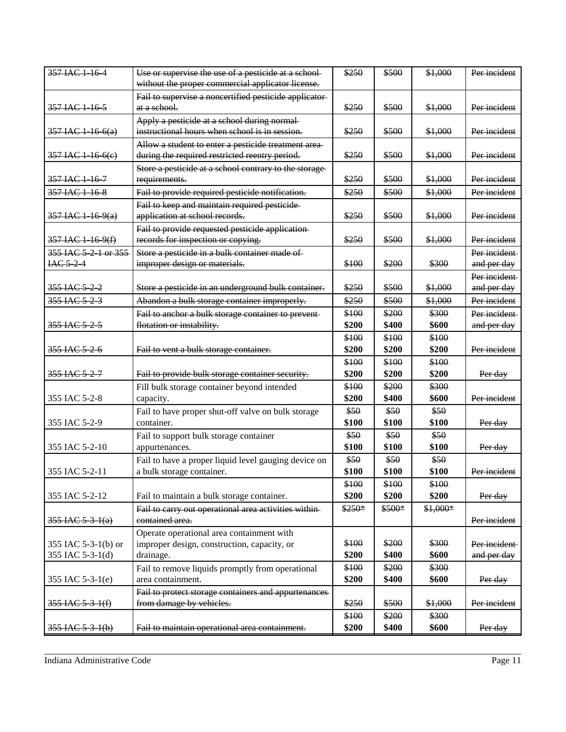| 357 IAC 1 16 4           | Use or supervise the use of a pesticide at a school-   | \$250  | \$500  | \$1,000  | Per incident |
|--------------------------|--------------------------------------------------------|--------|--------|----------|--------------|
|                          | without the proper commercial applicator license.      |        |        |          |              |
|                          | Fail to supervise a noncertified pesticide applicator- |        |        |          |              |
| 357 IAC 1 16 5           | <del>at a school.</del>                                | \$250  | \$500  | \$1,000  | Per incident |
|                          | Apply a pesticide at a school during normal-           |        |        |          |              |
| $357$ IAC 1 16 6(a)      | instructional hours when school is in session.         | \$250  | \$500  | \$1.000  | Per incident |
|                          | Allow a student to enter a pesticide treatment area-   |        |        |          |              |
| 357 IAC 1 16 6(e)        | during the required restricted reentry period.         | \$250  | \$500  | \$1,000  | Per incident |
|                          | Store a pesticide at a school contrary to the storage- |        |        |          |              |
| 357 IAC 1 16 7           | requirements.                                          | \$250  | \$500  | \$1,000  | Per incident |
| 357 IAC 1 16 8           | Fail to provide required pesticide notification.       | \$250  | \$500  | \$1,000  | Per incident |
|                          | Fail to keep and maintain required pesticide           |        |        |          |              |
| 357 IAC 1 16 9(a)        | application at school records.                         | \$250  | \$500  | \$1,000  | Per incident |
|                          | Fail to provide requested pesticide application-       |        |        |          |              |
| 357 IAC 1 16 9(f)        | records for inspection or copying.                     | \$250  | \$500  | \$1.000  | Per incident |
| 355 IAC 5 2 1 or 355     | Store a pesticide in a bulk container made of          |        |        |          | Per incident |
| IAC <sub>5</sub> 24      | improper design or materials.                          | \$100  | \$200  | \$300    | and per day  |
|                          |                                                        |        |        |          | Per incident |
| 355 IAC 5-2-2            | Store a pesticide in an underground bulk container.    | \$250  | \$500  | \$1,000  | and per day  |
| 355 IAC 5 2 3            | Abandon a bulk storage container improperly.           | \$250  | \$500  | \$1,000  | Per incident |
|                          | Fail to anchor a bulk storage container to prevent-    | \$100  | \$200  | \$300    | Per incident |
| 355 IAC 5 2 5            | flotation or instability.                              | \$200  | \$400  | \$600    | and per day  |
|                          |                                                        | \$100  | \$100  | \$100    |              |
| <del>355 IAC 5-2-6</del> | Fail to vent a bulk storage container.                 | \$200  | \$200  | \$200    | Per incident |
|                          |                                                        | \$100  | \$100  | \$100    |              |
| 355 JAC 5-2-7            | Fail to provide bulk storage container security.       | \$200  | \$200  | \$200    | Per day      |
|                          | Fill bulk storage container beyond intended            | \$100  | \$200  | \$300    |              |
| 355 IAC 5-2-8            | capacity.                                              | \$200  | \$400  | \$600    | Per incident |
|                          | Fail to have proper shut-off valve on bulk storage     | \$50   | \$50   | \$50     |              |
| 355 IAC 5-2-9            | container.                                             | \$100  | \$100  | \$100    | Per day      |
|                          | Fail to support bulk storage container                 | \$50   | \$50   | \$50     |              |
| 355 IAC 5-2-10           | appurtenances.                                         | \$100  | \$100  | \$100    | Per day      |
|                          | Fail to have a proper liquid level gauging device on   | \$50   | \$50   | \$50     |              |
| 355 IAC 5-2-11           | a bulk storage container.                              | \$100  | \$100  | \$100    | Per incident |
|                          |                                                        | \$100  | \$100  | \$100    |              |
| 355 IAC 5-2-12           | Fail to maintain a bulk storage container.             | \$200  | \$200  | \$200    | Per day      |
|                          | Fail to carry out operational area activities within-  | \$250* | \$500* | \$1,000* |              |
| $355$ IAC 5 3 1(a)       | contained area.                                        |        |        |          | Per incident |
|                          | Operate operational area containment with              |        |        |          |              |
| 355 IAC 5-3-1(b) or      | improper design, construction, capacity, or            | \$100  | \$200  | \$300    | Per incident |
| 355 IAC 5-3-1(d)         | drainage.                                              | \$200  | \$400  | \$600    | and per day  |
|                          | Fail to remove liquids promptly from operational       | \$100  | \$200  | \$300    |              |
| 355 IAC 5-3-1(e)         | area containment.                                      | \$200  | \$400  | \$600    | Per day      |
|                          | Fail to protect storage containers and appurtenances   |        |        |          |              |
| 355 IAC 5 3 1(f)         | from damage by vehicles.                               | \$250  | \$500  | \$1,000  | Per incident |
|                          |                                                        | \$100  | \$200  | \$300    |              |
| $355$ IAC $5$ $3$ $1(h)$ | Fail to maintain operational area containment.         | \$200  | \$400  | \$600    | Per day      |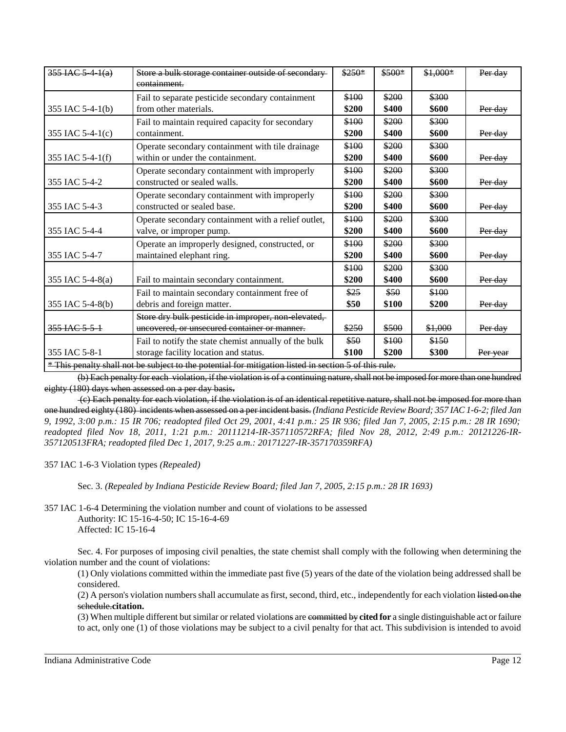| $355$ IAC 5 4 $1(a)$                                                                                  | Store a bulk storage container outside of secondary-<br>containment.                                | $$250*$        | \$500*         | $$1,000*$      | Per day  |
|-------------------------------------------------------------------------------------------------------|-----------------------------------------------------------------------------------------------------|----------------|----------------|----------------|----------|
| 355 IAC 5-4-1(b)                                                                                      | Fail to separate pesticide secondary containment<br>from other materials.                           | \$100<br>\$200 | \$200<br>\$400 | \$300<br>\$600 | Per day  |
| 355 IAC 5-4-1(c)                                                                                      | Fail to maintain required capacity for secondary<br>containment.                                    | \$100<br>\$200 | \$200<br>\$400 | \$300<br>\$600 | Per day  |
| 355 IAC 5-4-1(f)                                                                                      | Operate secondary containment with tile drainage<br>within or under the containment.                | \$100<br>\$200 | \$200<br>\$400 | \$300<br>\$600 | Per day  |
| 355 IAC 5-4-2                                                                                         | Operate secondary containment with improperly<br>constructed or sealed walls.                       | \$100<br>\$200 | \$200<br>\$400 | \$300<br>\$600 | Per day  |
| 355 IAC 5-4-3                                                                                         | Operate secondary containment with improperly<br>constructed or sealed base.                        | \$100<br>\$200 | \$200<br>\$400 | \$300<br>\$600 | Per day  |
| 355 IAC 5-4-4                                                                                         | Operate secondary containment with a relief outlet,<br>valve, or improper pump.                     | \$100<br>\$200 | \$200<br>\$400 | \$300<br>\$600 | Per day  |
| 355 IAC 5-4-7                                                                                         | Operate an improperly designed, constructed, or<br>maintained elephant ring.                        | \$100<br>\$200 | \$200<br>\$400 | \$300<br>\$600 | Per day  |
| 355 IAC 5-4-8(a)                                                                                      | Fail to maintain secondary containment.                                                             | \$100<br>\$200 | \$200<br>\$400 | \$300<br>\$600 | Per day  |
| 355 IAC 5-4-8(b)                                                                                      | Fail to maintain secondary containment free of<br>debris and foreign matter.                        | \$25<br>\$50   | \$50<br>\$100  | \$100<br>\$200 | Per day  |
| 355 JAC 5-5-1                                                                                         | Store dry bulk pesticide in improper, non-elevated,<br>uncovered, or unsecured container or manner. | \$250          | \$500          | \$1,000        | Per day  |
| 355 IAC 5-8-1                                                                                         | Fail to notify the state chemist annually of the bulk<br>storage facility location and status.      | \$50<br>\$100  | \$100<br>\$200 | \$150<br>\$300 | Per year |
| * This penalty shall not be subject to the potential for mitigation listed in section 5 of this rule. |                                                                                                     |                |                |                |          |

(b) Each penalty for each violation, if the violation is of a continuing nature, shall not be imposed for more than one hundred eighty (180) days when assessed on a per day basis**.**

(c) Each penalty for each violation, if the violation is of an identical repetitive nature, shall not be imposed for more than one hundred eighty (180) incidents when assessed on a per incident basis. *(Indiana Pesticide Review Board; 357 IAC 1-6-2; filed Jan 9, 1992, 3:00 p.m.: 15 IR 706; readopted filed Oct 29, 2001, 4:41 p.m.: 25 IR 936; filed Jan 7, 2005, 2:15 p.m.: 28 IR 1690; readopted filed Nov 18, 2011, 1:21 p.m.: 20111214-IR-357110572RFA; filed Nov 28, 2012, 2:49 p.m.: 20121226-IR-357120513FRA; readopted filed Dec 1, 2017, 9:25 a.m.: 20171227-IR-357170359RFA)*

357 IAC 1-6-3 Violation types *(Repealed)*

Sec. 3. *(Repealed by Indiana Pesticide Review Board; filed Jan 7, 2005, 2:15 p.m.: 28 IR 1693)*

357 IAC 1-6-4 Determining the violation number and count of violations to be assessed Authority: IC 15-16-4-50; IC 15-16-4-69 Affected: IC 15-16-4

Sec. 4. For purposes of imposing civil penalties, the state chemist shall comply with the following when determining the violation number and the count of violations:

(1) Only violations committed within the immediate past five (5) years of the date of the violation being addressed shall be considered.

(2) A person's violation numbers shall accumulate as first, second, third, etc., independently for each violation listed on the schedule.**citation.**

(3) When multiple different but similar or related violations are committed by **cited for** a single distinguishable act or failure to act, only one (1) of those violations may be subject to a civil penalty for that act. This subdivision is intended to avoid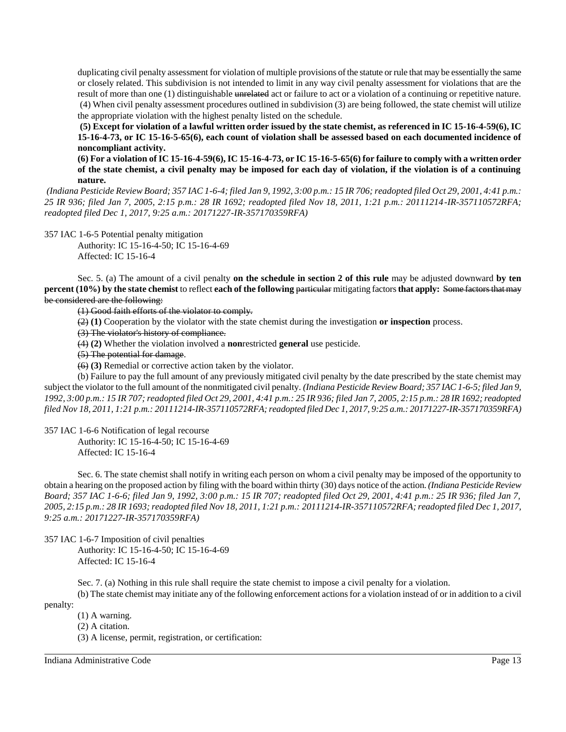duplicating civil penalty assessment for violation of multiple provisions of the statute or rule that may be essentially the same or closely related. This subdivision is not intended to limit in any way civil penalty assessment for violations that are the result of more than one (1) distinguishable unrelated act or failure to act or a violation of a continuing or repetitive nature. (4) When civil penalty assessment procedures outlined in subdivision (3) are being followed, the state chemist will utilize the appropriate violation with the highest penalty listed on the schedule.

**(5) Except for violation of a lawful written order issued by the state chemist, as referenced in IC 15-16-4-59(6), IC 15-16-4-73, or IC 15-16-5-65(6), each count of violation shall be assessed based on each documented incidence of noncompliant activity.** 

**(6) For a violation of IC 15-16-4-59(6), IC 15-16-4-73, or IC 15-16-5-65(6) for failure to comply with a written order of the state chemist, a civil penalty may be imposed for each day of violation, if the violation is of a continuing nature.** 

*(Indiana Pesticide Review Board; 357 IAC 1-6-4; filed Jan 9, 1992, 3:00 p.m.: 15 IR 706; readopted filed Oct 29, 2001, 4:41 p.m.: 25 IR 936; filed Jan 7, 2005, 2:15 p.m.: 28 IR 1692; readopted filed Nov 18, 2011, 1:21 p.m.: 20111214-IR-357110572RFA; readopted filed Dec 1, 2017, 9:25 a.m.: 20171227-IR-357170359RFA)*

357 IAC 1-6-5 Potential penalty mitigation

Authority: IC 15-16-4-50; IC 15-16-4-69 Affected: IC 15-16-4

Sec. 5. (a) The amount of a civil penalty **on the schedule in section 2 of this rule** may be adjusted downward **by ten percent (10%)** by the state chemist to reflect each of the following particular mitigating factors that apply: Some factors that may be considered are the following:

(1) Good faith efforts of the violator to comply.

(2) **(1)** Cooperation by the violator with the state chemist during the investigation **or inspection** process.

(3) The violator's history of compliance.

(4) **(2)** Whether the violation involved a **non**restricted **general** use pesticide.

(5) The potential for damage.

(6) **(3)** Remedial or corrective action taken by the violator.

(b) Failure to pay the full amount of any previously mitigated civil penalty by the date prescribed by the state chemist may subject the violator to the full amount of the nonmitigated civil penalty. *(Indiana Pesticide Review Board; 357 IAC 1-6-5; filed Jan 9, 1992, 3:00 p.m.: 15 IR 707; readopted filed Oct 29, 2001, 4:41 p.m.: 25 IR 936; filed Jan 7, 2005, 2:15 p.m.: 28 IR 1692; readopted filed Nov 18, 2011, 1:21 p.m.: 20111214-IR-357110572RFA; readopted filed Dec 1, 2017, 9:25 a.m.: 20171227-IR-357170359RFA)*

357 IAC 1-6-6 Notification of legal recourse

Authority: IC 15-16-4-50; IC 15-16-4-69

Affected: IC 15-16-4

Sec. 6. The state chemist shall notify in writing each person on whom a civil penalty may be imposed of the opportunity to obtain a hearing on the proposed action by filing with the board within thirty (30) days notice of the action. *(Indiana Pesticide Review Board; 357 IAC 1-6-6; filed Jan 9, 1992, 3:00 p.m.: 15 IR 707; readopted filed Oct 29, 2001, 4:41 p.m.: 25 IR 936; filed Jan 7, 2005, 2:15 p.m.: 28 IR 1693; readopted filed Nov 18, 2011, 1:21 p.m.: 20111214-IR-357110572RFA; readopted filed Dec 1, 2017, 9:25 a.m.: 20171227-IR-357170359RFA)*

357 IAC 1-6-7 Imposition of civil penalties Authority: IC 15-16-4-50; IC 15-16-4-69

Affected: IC 15-16-4

Sec. 7. (a) Nothing in this rule shall require the state chemist to impose a civil penalty for a violation.

(b) The state chemist may initiate any of the following enforcement actions for a violation instead of or in addition to a civil penalty:

(1) A warning.

- (2) A citation.
- (3) A license, permit, registration, or certification:

Indiana Administrative Code Page 13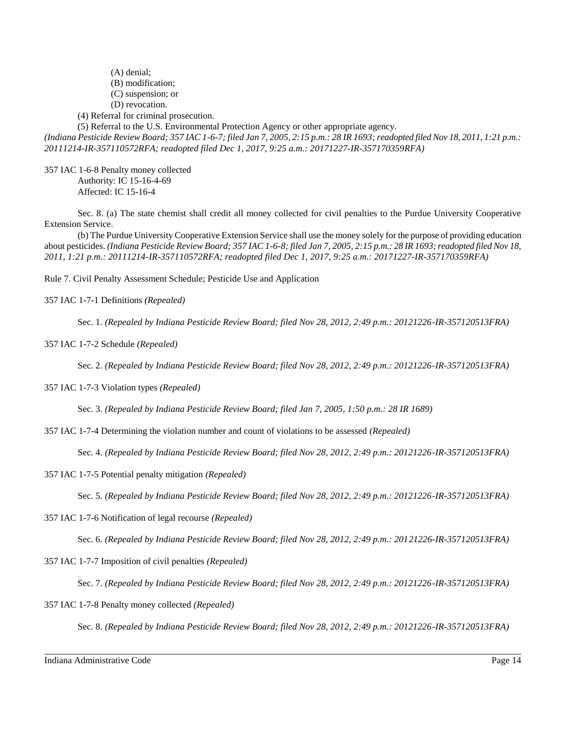(A) denial; (B) modification; (C) suspension; or (D) revocation. (4) Referral for criminal prosecution. (5) Referral to the U.S. Environmental Protection Agency or other appropriate agency.

*(Indiana Pesticide Review Board; 357 IAC 1-6-7; filed Jan 7, 2005, 2:15 p.m.: 28 IR 1693; readopted filed Nov 18, 2011, 1:21 p.m.: 20111214-IR-357110572RFA; readopted filed Dec 1, 2017, 9:25 a.m.: 20171227-IR-357170359RFA)*

357 IAC 1-6-8 Penalty money collected Authority: IC 15-16-4-69 Affected: IC 15-16-4

Sec. 8. (a) The state chemist shall credit all money collected for civil penalties to the Purdue University Cooperative Extension Service.

(b) The Purdue University Cooperative Extension Service shall use the money solely for the purpose of providing education about pesticides. *(Indiana Pesticide Review Board; 357 IAC 1-6-8; filed Jan 7, 2005, 2:15 p.m.: 28 IR 1693; readopted filed Nov 18, 2011, 1:21 p.m.: 20111214-IR-357110572RFA; readopted filed Dec 1, 2017, 9:25 a.m.: 20171227-IR-357170359RFA)*

Rule 7. Civil Penalty Assessment Schedule; Pesticide Use and Application

357 IAC 1-7-1 Definitions *(Repealed)*

Sec. 1. *(Repealed by Indiana Pesticide Review Board; filed Nov 28, 2012, 2:49 p.m.: 20121226-IR-357120513FRA)*

357 IAC 1-7-2 Schedule *(Repealed)*

Sec. 2. *(Repealed by Indiana Pesticide Review Board; filed Nov 28, 2012, 2:49 p.m.: 20121226-IR-357120513FRA)*

357 IAC 1-7-3 Violation types *(Repealed)*

Sec. 3. *(Repealed by Indiana Pesticide Review Board; filed Jan 7, 2005, 1:50 p.m.: 28 IR 1689)*

357 IAC 1-7-4 Determining the violation number and count of violations to be assessed *(Repealed)*

Sec. 4. *(Repealed by Indiana Pesticide Review Board; filed Nov 28, 2012, 2:49 p.m.: 20121226-IR-357120513FRA)*

357 IAC 1-7-5 Potential penalty mitigation *(Repealed)*

Sec. 5. *(Repealed by Indiana Pesticide Review Board; filed Nov 28, 2012, 2:49 p.m.: 20121226-IR-357120513FRA)*

357 IAC 1-7-6 Notification of legal recourse *(Repealed)*

Sec. 6. *(Repealed by Indiana Pesticide Review Board; filed Nov 28, 2012, 2:49 p.m.: 20121226-IR-357120513FRA)*

357 IAC 1-7-7 Imposition of civil penalties *(Repealed)*

Sec. 7. *(Repealed by Indiana Pesticide Review Board; filed Nov 28, 2012, 2:49 p.m.: 20121226-IR-357120513FRA)*

357 IAC 1-7-8 Penalty money collected *(Repealed)*

Sec. 8. *(Repealed by Indiana Pesticide Review Board; filed Nov 28, 2012, 2:49 p.m.: 20121226-IR-357120513FRA)*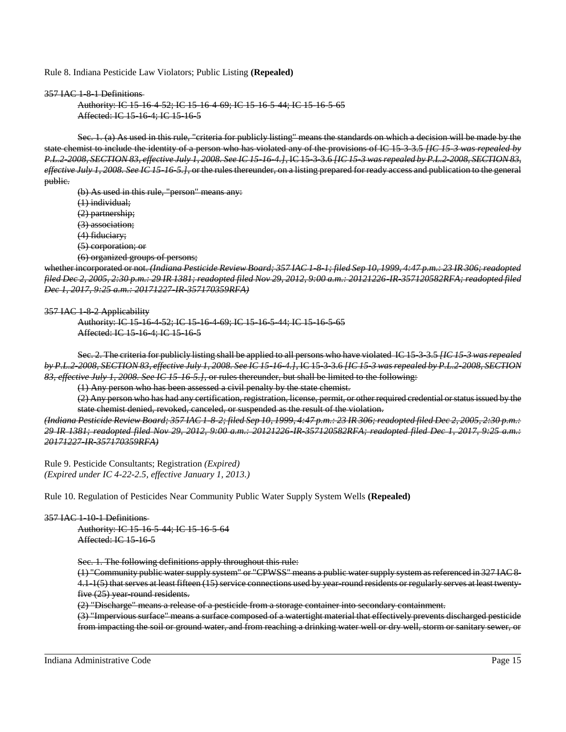Rule 8. Indiana Pesticide Law Violators; Public Listing **(Repealed)**

### 357 IAC 1-8-1 Definitions

```
Authority: IC 15-16-4-52; IC 15-16-4-69; IC 15-16-5-44; IC 15-16-5-65
Affected: IC 15-16-4; IC 15-16-5
```
Sec. 1. (a) As used in this rule, "criteria for publicly listing" means the standards on which a decision will be made by the state chemist to include the identity of a person who has violated any of the provisions of IC 15-3-3.5 *[IC 15-3 was repealed by P.L.2-2008, SECTION 83, effective July 1, 2008. See IC 15-16-4.]*, IC 15-3-3.6 *[IC 15-3 was repealed by P.L.2-2008, SECTION 83, effective July 1, 2008. See IC 15-16-5.]*, or the rules thereunder, on a listing prepared for ready access and publication to the general public.

(b) As used in this rule, "person" means any: (1) individual; (2) partnership; (3) association; (4) fiduciary; (5) corporation; or (6) organized groups of persons;

whether incorporated or not. *(Indiana Pesticide Review Board; 357 IAC 1-8-1; filed Sep 10, 1999, 4:47 p.m.: 23 IR 306; readopted filed Dec 2, 2005, 2:30 p.m.: 29 IR 1381; readopted filed Nov 29, 2012, 9:00 a.m.: 20121226-IR-357120582RFA; readopted filed Dec 1, 2017, 9:25 a.m.: 20171227-IR-357170359RFA)*

357 IAC 1-8-2 Applicability

Authority: IC 15-16-4-52; IC 15-16-4-69; IC 15-16-5-44; IC 15-16-5-65 Affected: IC 15-16-4; IC 15-16-5

Sec. 2. The criteria for publicly listing shall be applied to all persons who have violated IC 15-3-3.5 *[IC 15-3 was repealed by P.L.2-2008, SECTION 83, effective July 1, 2008. See IC 15-16-4.]*, IC 15-3-3.6 *[IC 15-3 was repealed by P.L.2-2008, SECTION 83, effective July 1, 2008. See IC 15-16-5.]*, or rules thereunder, but shall be limited to the following:

(1) Any person who has been assessed a civil penalty by the state chemist.

(2) Any person who has had any certification, registration, license, permit, or other required credential or status issued by the state chemist denied, revoked, canceled, or suspended as the result of the violation.

*(Indiana Pesticide Review Board; 357 IAC 1-8-2; filed Sep 10, 1999, 4:47 p.m.: 23 IR 306; readopted filed Dec 2, 2005, 2:30 p.m.: 29 IR 1381; readopted filed Nov 29, 2012, 9:00 a.m.: 20121226-IR-357120582RFA; readopted filed Dec 1, 2017, 9:25 a.m.: 20171227-IR-357170359RFA)*

Rule 9. Pesticide Consultants; Registration *(Expired) (Expired under IC 4-22-2.5, effective January 1, 2013.)*

Rule 10. Regulation of Pesticides Near Community Public Water Supply System Wells **(Repealed)**

### 357 IAC 1-10-1 Definitions

Authority: IC 15-16-5-44; IC 15-16-5-64 Affected: IC 15-16-5

Sec. 1. The following definitions apply throughout this rule:

(1) "Community public water supply system" or "CPWSS" means a public water supply system as referenced in 327 IAC 8- 4.1-1(5) that serves at least fifteen (15) service connections used by year-round residents or regularly serves at least twentyfive (25) year-round residents.

(2) "Discharge" means a release of a pesticide from a storage container into secondary containment.

(3) "Impervious surface" means a surface composed of a watertight material that effectively prevents discharged pesticide from impacting the soil or ground water, and from reaching a drinking water well or dry well, storm or sanitary sewer, or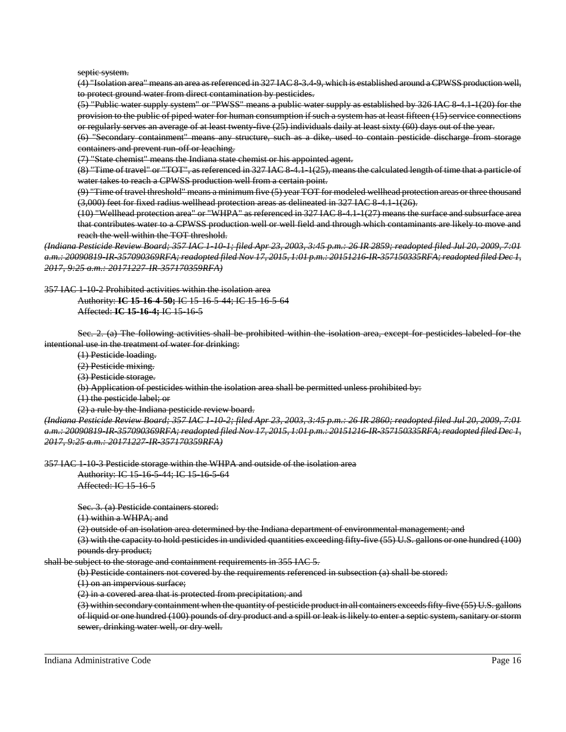septic system.

(4) "Isolation area" means an area as referenced in 327 IAC 8-3.4-9, which is established around a CPWSS production well, to protect ground water from direct contamination by pesticides.

(5) "Public water supply system" or "PWSS" means a public water supply as established by 326 IAC 8-4.1-1(20) for the provision to the public of piped water for human consumption if such a system has at least fifteen (15) service connections or regularly serves an average of at least twenty-five (25) individuals daily at least sixty (60) days out of the year.

(6) "Secondary containment" means any structure, such as a dike, used to contain pesticide discharge from storage containers and prevent run-off or leaching.

(7) "State chemist" means the Indiana state chemist or his appointed agent.

(8) "Time of travel" or "TOT", as referenced in 327 IAC 8-4.1-1(25), means the calculated length of time that a particle of water takes to reach a CPWSS production well from a certain point.

(9) "Time of travel threshold" means a minimum five (5) year TOT for modeled wellhead protection areas or three thousand (3,000) feet for fixed radius wellhead protection areas as delineated in 327 IAC 8-4.1-1(26).

(10) "Wellhead protection area" or "WHPA" as referenced in 327 IAC 8-4.1-1(27) means the surface and subsurface area that contributes water to a CPWSS production well or well field and through which contaminants are likely to move and reach the well within the TOT threshold.

*(Indiana Pesticide Review Board; 357 IAC 1-10-1; filed Apr 23, 2003, 3:45 p.m.: 26 IR 2859; readopted filed Jul 20, 2009, 7:01 a.m.: 20090819-IR-357090369RFA; readopted filed Nov 17, 2015, 1:01 p.m.: 20151216-IR-357150335RFA; readopted filed Dec 1, 2017, 9:25 a.m.: 20171227-IR-357170359RFA)*

357 IAC 1-10-2 Prohibited activities within the isolation area

Authority: **IC 15-16-4-50;** IC 15-16-5-44; IC 15-16-5-64 Affected: **IC 15-16-4;** IC 15-16-5

Sec. 2. (a) The following activities shall be prohibited within the isolation area, except for pesticides labeled for the intentional use in the treatment of water for drinking:

(1) Pesticide loading.

(2) Pesticide mixing.

(3) Pesticide storage.

(b) Application of pesticides within the isolation area shall be permitted unless prohibited by:

(1) the pesticide label; or

(2) a rule by the Indiana pesticide review board.

*(Indiana Pesticide Review Board; 357 IAC 1-10-2; filed Apr 23, 2003, 3:45 p.m.: 26 IR 2860; readopted filed Jul 20, 2009, 7:01 a.m.: 20090819-IR-357090369RFA; readopted filed Nov 17, 2015, 1:01 p.m.: 20151216-IR-357150335RFA; readopted filed Dec 1, 2017, 9:25 a.m.: 20171227-IR-357170359RFA)*

357 IAC 1-10-3 Pesticide storage within the WHPA and outside of the isolation area

Authority: IC 15-16-5-44; IC 15-16-5-64 Affected: IC 15-16-5

Sec. 3. (a) Pesticide containers stored:

(1) within a WHPA; and

(2) outside of an isolation area determined by the Indiana department of environmental management; and

(3) with the capacity to hold pesticides in undivided quantities exceeding fifty-five (55) U.S. gallons or one hundred (100) pounds dry product;

shall be subject to the storage and containment requirements in 355 IAC 5.

(b) Pesticide containers not covered by the requirements referenced in subsection (a) shall be stored:

(1) on an impervious surface;

(2) in a covered area that is protected from precipitation; and

(3) within secondary containment when the quantity of pesticide product in all containers exceeds fifty-five (55) U.S. gallons of liquid or one hundred (100) pounds of dry product and a spill or leak is likely to enter a septic system, sanitary or storm sewer, drinking water well, or dry well.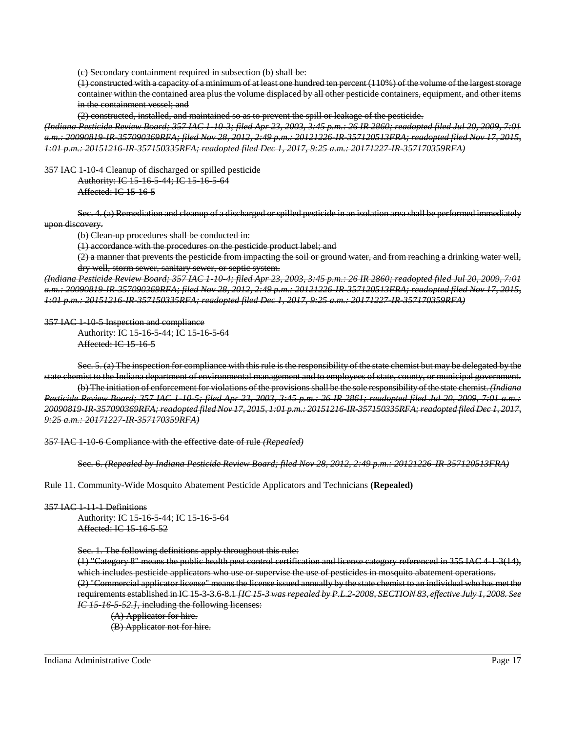(c) Secondary containment required in subsection (b) shall be:

(1) constructed with a capacity of a minimum of at least one hundred ten percent (110%) of the volume of the largest storage container within the contained area plus the volume displaced by all other pesticide containers, equipment, and other items in the containment vessel; and

(2) constructed, installed, and maintained so as to prevent the spill or leakage of the pesticide.

*(Indiana Pesticide Review Board; 357 IAC 1-10-3; filed Apr 23, 2003, 3:45 p.m.: 26 IR 2860; readopted filed Jul 20, 2009, 7:01 a.m.: 20090819-IR-357090369RFA; filed Nov 28, 2012, 2:49 p.m.: 20121226-IR-357120513FRA; readopted filed Nov 17, 2015, 1:01 p.m.: 20151216-IR-357150335RFA; readopted filed Dec 1, 2017, 9:25 a.m.: 20171227-IR-357170359RFA)*

357 IAC 1-10-4 Cleanup of discharged or spilled pesticide

Authority: IC 15-16-5-44; IC 15-16-5-64 Affected: IC 15-16-5

Sec. 4. (a) Remediation and cleanup of a discharged or spilled pesticide in an isolation area shall be performed immediately upon discovery.

(b) Clean up procedures shall be conducted in:

(1) accordance with the procedures on the pesticide product label; and

(2) a manner that prevents the pesticide from impacting the soil or ground water, and from reaching a drinking water well, dry well, storm sewer, sanitary sewer, or septic system.

*(Indiana Pesticide Review Board; 357 IAC 1-10-4; filed Apr 23, 2003, 3:45 p.m.: 26 IR 2860; readopted filed Jul 20, 2009, 7:01 a.m.: 20090819-IR-357090369RFA; filed Nov 28, 2012, 2:49 p.m.: 20121226-IR-357120513FRA; readopted filed Nov 17, 2015, 1:01 p.m.: 20151216-IR-357150335RFA; readopted filed Dec 1, 2017, 9:25 a.m.: 20171227-IR-357170359RFA)*

357 IAC 1-10-5 Inspection and compliance

Authority: IC 15-16-5-44; IC 15-16-5-64 Affected: IC 15-16-5

Sec. 5. (a) The inspection for compliance with this rule is the responsibility of the state chemist but may be delegated by the state chemist to the Indiana department of environmental management and to employees of state, county, or municipal government. (b) The initiation of enforcement for violations of the provisions shall be the sole responsibility of the state chemist. *(Indiana Pesticide Review Board; 357 IAC 1-10-5; filed Apr 23, 2003, 3:45 p.m.: 26 IR 2861; readopted filed Jul 20, 2009, 7:01 a.m.: 20090819-IR-357090369RFA; readopted filed Nov 17, 2015, 1:01 p.m.: 20151216-IR-357150335RFA; readopted filed Dec 1, 2017, 9:25 a.m.: 20171227-IR-357170359RFA)*

357 IAC 1-10-6 Compliance with the effective date of rule *(Repealed)*

Sec. 6. *(Repealed by Indiana Pesticide Review Board; filed Nov 28, 2012, 2:49 p.m.: 20121226-IR-357120513FRA)*

Rule 11. Community-Wide Mosquito Abatement Pesticide Applicators and Technicians **(Repealed)**

### 357 IAC 1-11-1 Definitions

Authority: IC 15-16-5-44; IC 15-16-5-64 Affected: IC 15-16-5-52

Sec. 1. The following definitions apply throughout this rule:

(1) "Category 8" means the public health pest control certification and license category referenced in 355 IAC 4-1-3(14), which includes pesticide applicators who use or supervise the use of pesticides in mosquito abatement operations. (2) "Commercial applicator license" means the license issued annually by the state chemist to an individual who has met the requirements established in IC 15-3-3.6-8.1 *[IC 15-3 was repealed by P.L.2-2008, SECTION 83, effective July 1, 2008. See IC 15-16-5-52.]*, including the following licenses:

(A) Applicator for hire.

(B) Applicator not for hire.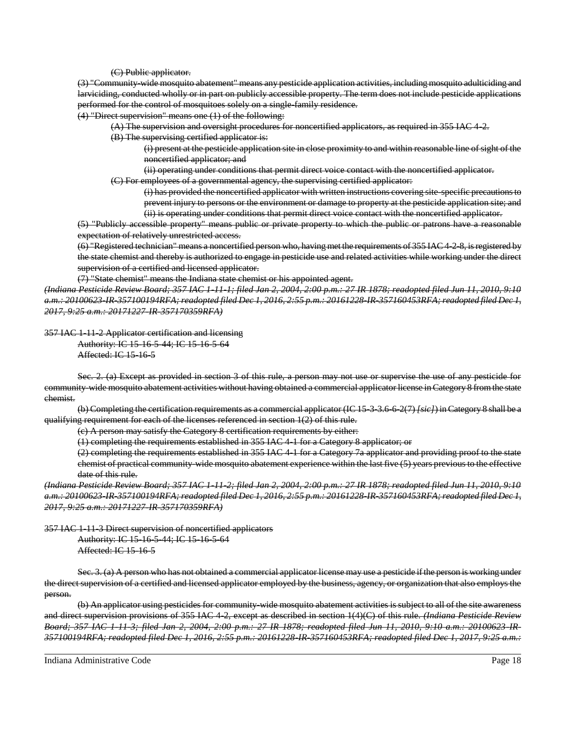(C) Public applicator.

(3) "Community-wide mosquito abatement" means any pesticide application activities, including mosquito adulticiding and larviciding, conducted wholly or in part on publicly accessible property. The term does not include pesticide applications performed for the control of mosquitoes solely on a single-family residence.

(4) "Direct supervision" means one (1) of the following:

(A) The supervision and oversight procedures for noncertified applicators, as required in 355 IAC 4-2.

(B) The supervising certified applicator is:

(i) present at the pesticide application site in close proximity to and within reasonable line of sight of the noncertified applicator; and

(ii) operating under conditions that permit direct voice contact with the noncertified applicator.

(C) For employees of a governmental agency, the supervising certified applicator:

(i) has provided the noncertified applicator with written instructions covering site-specific precautions to prevent injury to persons or the environment or damage to property at the pesticide application site; and (ii) is operating under conditions that permit direct voice contact with the noncertified applicator.

(5) "Publicly accessible property" means public or private property to which the public or patrons have a reasonable expectation of relatively unrestricted access.

(6) "Registered technician" means a noncertified person who, having met the requirements of 355 IAC 4-2-8, is registered by the state chemist and thereby is authorized to engage in pesticide use and related activities while working under the direct supervision of a certified and licensed applicator.

(7) "State chemist" means the Indiana state chemist or his appointed agent.

*(Indiana Pesticide Review Board; 357 IAC 1-11-1; filed Jan 2, 2004, 2:00 p.m.: 27 IR 1878; readopted filed Jun 11, 2010, 9:10 a.m.: 20100623-IR-357100194RFA; readopted filed Dec 1, 2016, 2:55 p.m.: 20161228-IR-357160453RFA; readopted filed Dec 1, 2017, 9:25 a.m.: 20171227-IR-357170359RFA)*

357 IAC 1-11-2 Applicator certification and licensing

Authority: IC 15-16-5-44; IC 15-16-5-64 Affected: IC 15-16-5

Sec. 2. (a) Except as provided in section 3 of this rule, a person may not use or supervise the use of any pesticide for community-wide mosquito abatement activities without having obtained a commercial applicator license in Category 8 from the state chemist.

(b) Completing the certification requirements as a commercial applicator (IC 15-3-3.6-6-2(7) *[sic]*) in Category 8 shall be a qualifying requirement for each of the licenses referenced in section  $1(2)$  of this rule.

(c) A person may satisfy the Category 8 certification requirements by either:

(1) completing the requirements established in 355 IAC 4-1 for a Category 8 applicator; or

(2) completing the requirements established in 355 IAC 4-1 for a Category 7a applicator and providing proof to the state chemist of practical community-wide mosquito abatement experience within the last five (5) years previous to the effective date of this rule.

*(Indiana Pesticide Review Board; 357 IAC 1-11-2; filed Jan 2, 2004, 2:00 p.m.: 27 IR 1878; readopted filed Jun 11, 2010, 9:10 a.m.: 20100623-IR-357100194RFA; readopted filed Dec 1, 2016, 2:55 p.m.: 20161228-IR-357160453RFA; readopted filed Dec 1, 2017, 9:25 a.m.: 20171227-IR-357170359RFA)*

357 IAC 1-11-3 Direct supervision of noncertified applicators

Authority: IC 15-16-5-44; IC 15-16-5-64 Affected: IC 15-16-5

Sec. 3. (a) A person who has not obtained a commercial applicator license may use a pesticide if the person is working under the direct supervision of a certified and licensed applicator employed by the business, agency, or organization that also employs the person.

(b) An applicator using pesticides for community-wide mosquito abatement activities is subject to all of the site awareness and direct supervision provisions of 355 IAC 4-2, except as described in section 1(4)(C) of this rule. *(Indiana Pesticide Review Board; 357 IAC 1-11-3; filed Jan 2, 2004, 2:00 p.m.: 27 IR 1878; readopted filed Jun 11, 2010, 9:10 a.m.: 20100623-IR-357100194RFA; readopted filed Dec 1, 2016, 2:55 p.m.: 20161228-IR-357160453RFA; readopted filed Dec 1, 2017, 9:25 a.m.:*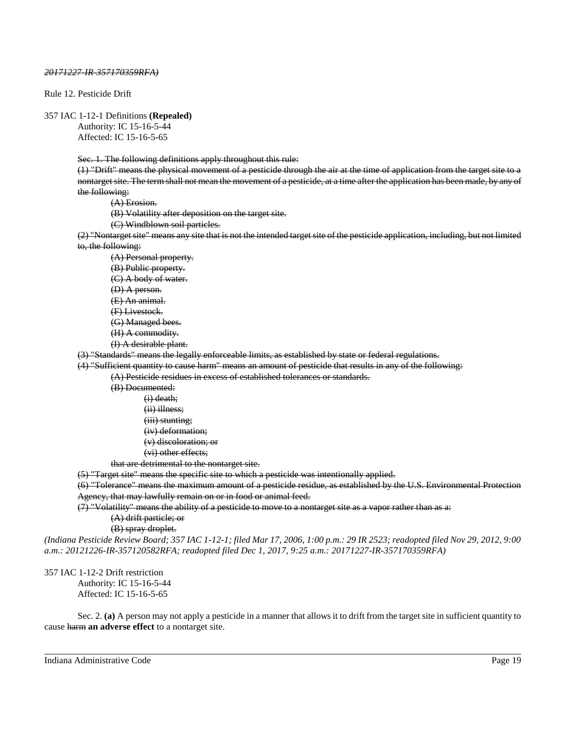### *20171227-IR-357170359RFA)*

Rule 12. Pesticide Drift

357 IAC 1-12-1 Definitions **(Repealed)**

Authority: IC 15-16-5-44 Affected: IC 15-16-5-65

Sec. 1. The following definitions apply throughout this rule:

(1) "Drift" means the physical movement of a pesticide through the air at the time of application from the target site to a nontarget site. The term shall not mean the movement of a pesticide, at a time after the application has been made, by any of the following:

(A) Erosion.

(B) Volatility after deposition on the target site.

(C) Windblown soil particles.

(2) "Nontarget site" means any site that is not the intended target site of the pesticide application, including, but not limited to, the following:

(A) Personal property. (B) Public property. (C) A body of water. (D) A person. (E) An animal. (F) Livestock. (G) Managed bees. (H) A commodity. (I) A desirable plant.

(3) "Standards" means the legally enforceable limits, as established by state or federal regulations.

(4) "Sufficient quantity to cause harm" means an amount of pesticide that results in any of the following:

(A) Pesticide residues in excess of established tolerances or standards.

(B) Documented: (i) death; (ii) illness; (iii) stunting; (iv) deformation; (v) discoloration; or (vi) other effects;

that are detrimental to the nontarget site.

(5) "Target site" means the specific site to which a pesticide was intentionally applied.

(6) "Tolerance" means the maximum amount of a pesticide residue, as established by the U.S. Environmental Protection Agency, that may lawfully remain on or in food or animal feed.

(7) "Volatility" means the ability of a pesticide to move to a nontarget site as a vapor rather than as a:

(A) drift particle; or

(B) spray droplet.

*(Indiana Pesticide Review Board; 357 IAC 1-12-1; filed Mar 17, 2006, 1:00 p.m.: 29 IR 2523; readopted filed Nov 29, 2012, 9:00 a.m.: 20121226-IR-357120582RFA; readopted filed Dec 1, 2017, 9:25 a.m.: 20171227-IR-357170359RFA)*

357 IAC 1-12-2 Drift restriction Authority: IC 15-16-5-44 Affected: IC 15-16-5-65

Sec. 2. **(a)** A person may not apply a pesticide in a manner that allows it to drift from the target site in sufficient quantity to cause harm **an adverse effect** to a nontarget site.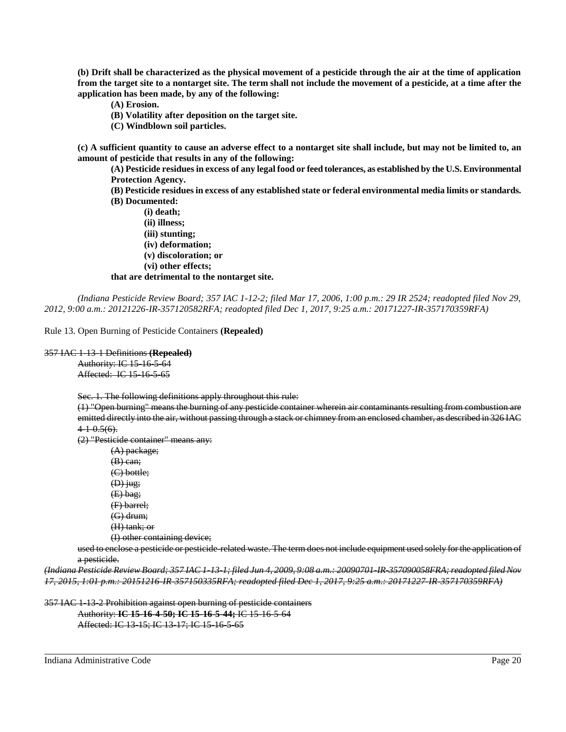**(b) Drift shall be characterized as the physical movement of a pesticide through the air at the time of application from the target site to a nontarget site. The term shall not include the movement of a pesticide, at a time after the application has been made, by any of the following:**

- **(A) Erosion.**
- **(B) Volatility after deposition on the target site.**
- **(C) Windblown soil particles.**

**(c) A sufficient quantity to cause an adverse effect to a nontarget site shall include, but may not be limited to, an amount of pesticide that results in any of the following:**

**(A) Pesticide residues in excess of any legal food or feed tolerances, as established by the U.S. Environmental Protection Agency.**

**(B) Pesticide residues in excess of any established state or federal environmental media limits or standards. (B) Documented:**

**(i) death; (ii) illness; (iii) stunting; (iv) deformation; (v) discoloration; or (vi) other effects; that are detrimental to the nontarget site.**

*(Indiana Pesticide Review Board; 357 IAC 1-12-2; filed Mar 17, 2006, 1:00 p.m.: 29 IR 2524; readopted filed Nov 29, 2012, 9:00 a.m.: 20121226-IR-357120582RFA; readopted filed Dec 1, 2017, 9:25 a.m.: 20171227-IR-357170359RFA)*

Rule 13. Open Burning of Pesticide Containers **(Repealed)**

# 357 IAC 1-13-1 Definitions **(Repealed)**

Authority: IC 15-16-5-64 Affected: IC 15-16-5-65

Sec. 1. The following definitions apply throughout this rule:

(1) "Open burning" means the burning of any pesticide container wherein air contaminants resulting from combustion are emitted directly into the air, without passing through a stack or chimney from an enclosed chamber, as described in 326 IAC  $4+0.5(6)$ .

(2) "Pesticide container" means any:

(A) package; (B) can; (C) bottle;  $(D)$  jug;  $(E)$  bag; (F) barrel; (G) drum; (H) tank; or (I) other containing device;

used to enclose a pesticide or pesticide-related waste. The term does not include equipment used solely for the application of a pesticide.

*(Indiana Pesticide Review Board; 357 IAC 1-13-1; filed Jun 4, 2009, 9:08 a.m.: 20090701-IR-357090058FRA; readopted filed Nov 17, 2015, 1:01 p.m.: 20151216-IR-357150335RFA; readopted filed Dec 1, 2017, 9:25 a.m.: 20171227-IR-357170359RFA)*

357 IAC 1-13-2 Prohibition against open burning of pesticide containers Authority: **IC 15-16-4-50; IC 15-16-5-44;** IC 15-16-5-64

Affected: IC 13-15; IC 13-17; IC 15-16-5-65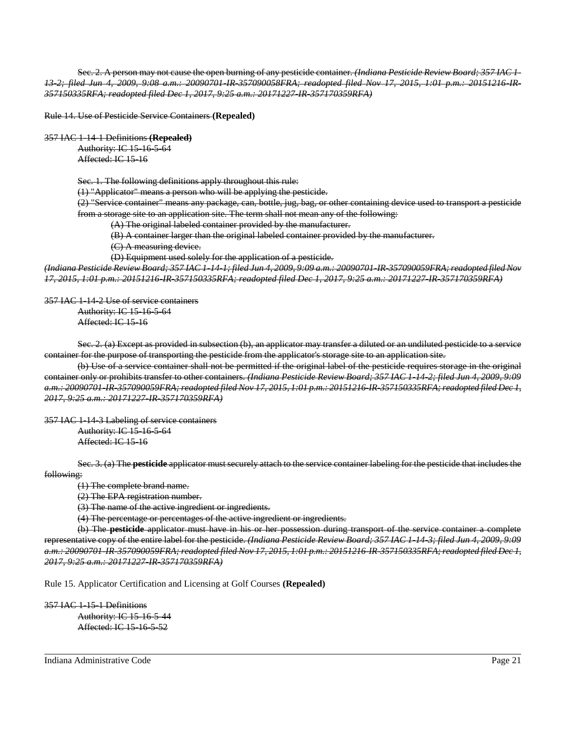Sec. 2. A person may not cause the open burning of any pesticide container. *(Indiana Pesticide Review Board; 357 IAC 1- 13-2; filed Jun 4, 2009, 9:08 a.m.: 20090701-IR-357090058FRA; readopted filed Nov 17, 2015, 1:01 p.m.: 20151216-IR-357150335RFA; readopted filed Dec 1, 2017, 9:25 a.m.: 20171227-IR-357170359RFA)*

Rule 14. Use of Pesticide Service Containers **(Repealed)**

357 IAC 1-14-1 Definitions **(Repealed)**

Authority: IC 15-16-5-64 Affected: IC 15-16

Sec. 1. The following definitions apply throughout this rule:

(1) "Applicator" means a person who will be applying the pesticide.

(2) "Service container" means any package, can, bottle, jug, bag, or other containing device used to transport a pesticide from a storage site to an application site. The term shall not mean any of the following:

(A) The original labeled container provided by the manufacturer.

(B) A container larger than the original labeled container provided by the manufacturer.

(C) A measuring device.

(D) Equipment used solely for the application of a pesticide.

*(Indiana Pesticide Review Board; 357 IAC 1-14-1; filed Jun 4, 2009, 9:09 a.m.: 20090701-IR-357090059FRA; readopted filed Nov 17, 2015, 1:01 p.m.: 20151216-IR-357150335RFA; readopted filed Dec 1, 2017, 9:25 a.m.: 20171227-IR-357170359RFA)*

357 IAC 1-14-2 Use of service containers

Authority: IC 15-16-5-64 Affected: IC 15-16

Sec. 2. (a) Except as provided in subsection (b), an applicator may transfer a diluted or an undiluted pesticide to a service container for the purpose of transporting the pesticide from the applicator's storage site to an application site.

(b) Use of a service container shall not be permitted if the original label of the pesticide requires storage in the original container only or prohibits transfer to other containers. *(Indiana Pesticide Review Board; 357 IAC 1-14-2; filed Jun 4, 2009, 9:09 a.m.: 20090701-IR-357090059FRA; readopted filed Nov 17, 2015, 1:01 p.m.: 20151216-IR-357150335RFA; readopted filed Dec 1, 2017, 9:25 a.m.: 20171227-IR-357170359RFA)*

357 IAC 1-14-3 Labeling of service containers Authority: IC 15-16-5-64

Affected: IC 15-16

Sec. 3. (a) The **pesticide** applicator must securely attach to the service container labeling for the pesticide that includes the following:

(1) The complete brand name.

(2) The EPA registration number.

(3) The name of the active ingredient or ingredients.

(4) The percentage or percentages of the active ingredient or ingredients.

(b) The **pesticide** applicator must have in his or her possession during transport of the service container a complete representative copy of the entire label for the pesticide. *(Indiana Pesticide Review Board; 357 IAC 1-14-3; filed Jun 4, 2009, 9:09 a.m.: 20090701-IR-357090059FRA; readopted filed Nov 17, 2015, 1:01 p.m.: 20151216-IR-357150335RFA; readopted filed Dec 1, 2017, 9:25 a.m.: 20171227-IR-357170359RFA)*

Rule 15. Applicator Certification and Licensing at Golf Courses **(Repealed)**

357 IAC 1-15-1 Definitions Authority: IC 15-16-5-44 Affected: IC 15-16-5-52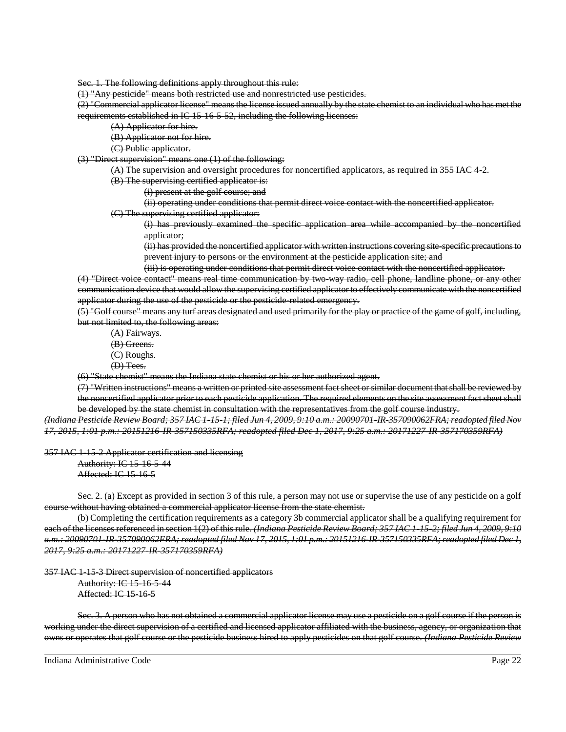Sec. 1. The following definitions apply throughout this rule:

(1) "Any pesticide" means both restricted use and nonrestricted use pesticides.

(2) "Commercial applicator license" means the license issued annually by the state chemist to an individual who has met the requirements established in IC 15-16-5-52, including the following licenses:

(A) Applicator for hire.

(B) Applicator not for hire.

(C) Public applicator.

(3) "Direct supervision" means one (1) of the following:

- (A) The supervision and oversight procedures for noncertified applicators, as required in 355 IAC 4-2.
- (B) The supervising certified applicator is:
	- (i) present at the golf course; and
	- (ii) operating under conditions that permit direct voice contact with the noncertified applicator.
- (C) The supervising certified applicator:

(i) has previously examined the specific application area while accompanied by the noncertified applicator;

(ii) has provided the noncertified applicator with written instructions covering site-specific precautions to prevent injury to persons or the environment at the pesticide application site; and

(iii) is operating under conditions that permit direct voice contact with the noncertified applicator.

(4) "Direct voice contact" means real time communication by two-way radio, cell phone, landline phone, or any other communication device that would allow the supervising certified applicator to effectively communicate with the noncertified applicator during the use of the pesticide or the pesticide-related emergency.

(5) "Golf course" means any turf areas designated and used primarily for the play or practice of the game of golf, including, but not limited to, the following areas:

- (A) Fairways.
- (B) Greens.
- (C) Roughs.
- (D) Tees.

(6) "State chemist" means the Indiana state chemist or his or her authorized agent.

(7) "Written instructions" means a written or printed site assessment fact sheet or similar document that shall be reviewed by the noncertified applicator prior to each pesticide application. The required elements on the site assessment fact sheet shall be developed by the state chemist in consultation with the representatives from the golf course industry.

*(Indiana Pesticide Review Board; 357 IAC 1-15-1; filed Jun 4, 2009, 9:10 a.m.: 20090701-IR-357090062FRA; readopted filed Nov 17, 2015, 1:01 p.m.: 20151216-IR-357150335RFA; readopted filed Dec 1, 2017, 9:25 a.m.: 20171227-IR-357170359RFA)*

357 IAC 1-15-2 Applicator certification and licensing

Authority: IC 15-16-5-44 Affected: IC 15-16-5

Sec. 2. (a) Except as provided in section 3 of this rule, a person may not use or supervise the use of any pesticide on a golf course without having obtained a commercial applicator license from the state chemist.

(b) Completing the certification requirements as a category 3b commercial applicator shall be a qualifying requirement for each of the licenses referenced in section 1(2) of this rule. *(Indiana Pesticide Review Board; 357 IAC 1 15-2; filed Jun 4, 2009, 9:10 a.m.: 20090701-IR-357090062FRA; readopted filed Nov 17, 2015, 1:01 p.m.: 20151216-IR-357150335RFA; readopted filed Dec 1, 2017, 9:25 a.m.: 20171227-IR-357170359RFA)*

357 IAC 1-15-3 Direct supervision of noncertified applicators

Authority: IC 15-16-5-44 Affected: IC 15-16-5

Sec. 3. A person who has not obtained a commercial applicator license may use a pesticide on a golf course if the person is working under the direct supervision of a certified and licensed applicator affiliated with the business, agency, or organization that owns or operates that golf course or the pesticide business hired to apply pesticides on that golf course. *(Indiana Pesticide Review*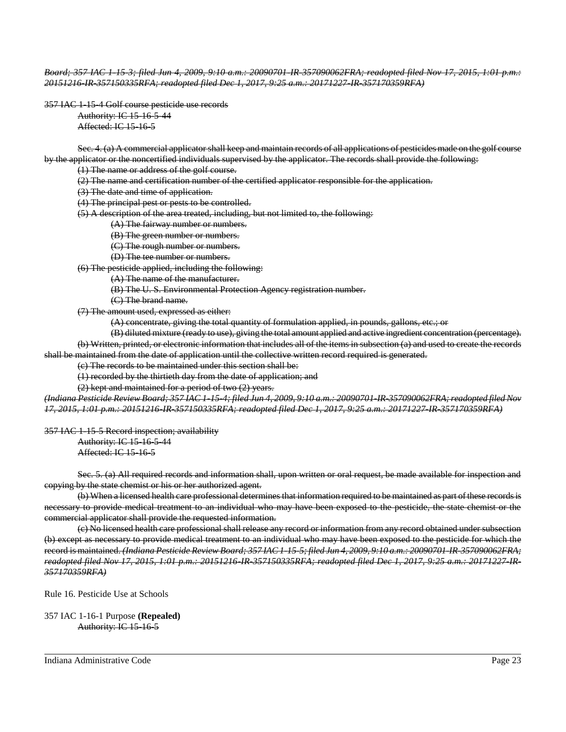*Board; 357 IAC 1-15-3; filed Jun 4, 2009, 9:10 a.m.: 20090701-IR-357090062FRA; readopted filed Nov 17, 2015, 1:01 p.m.: 20151216-IR-357150335RFA; readopted filed Dec 1, 2017, 9:25 a.m.: 20171227-IR-357170359RFA)*

357 IAC 1-15-4 Golf course pesticide use records Authority: IC 15-16-5-44 Affected: IC 15-16-5

Sec. 4. (a) A commercial applicator shall keep and maintain records of all applications of pesticides made on the golf course by the applicator or the noncertified individuals supervised by the applicator. The records shall provide the following:

(1) The name or address of the golf course.

(2) The name and certification number of the certified applicator responsible for the application.

(3) The date and time of application.

(4) The principal pest or pests to be controlled.

(5) A description of the area treated, including, but not limited to, the following:

(A) The fairway number or numbers.

(B) The green number or numbers.

(C) The rough number or numbers.

(D) The tee number or numbers.

(6) The pesticide applied, including the following:

(A) The name of the manufacturer.

(B) The U. S. Environmental Protection Agency registration number.

(C) The brand name.

(7) The amount used, expressed as either:

(A) concentrate, giving the total quantity of formulation applied, in pounds, gallons, etc.; or

(B) diluted mixture (ready to use), giving the total amount applied and active ingredient concentration (percentage).

(b) Written, printed, or electronic information that includes all of the items in subsection (a) and used to create the records shall be maintained from the date of application until the collective written record required is generated.

(c) The records to be maintained under this section shall be:

(1) recorded by the thirtieth day from the date of application; and

(2) kept and maintained for a period of two (2) years.

*(Indiana Pesticide Review Board; 357 IAC 1-15-4; filed Jun 4, 2009, 9:10 a.m.: 20090701-IR-357090062FRA; readopted filed Nov 17, 2015, 1:01 p.m.: 20151216-IR-357150335RFA; readopted filed Dec 1, 2017, 9:25 a.m.: 20171227-IR-357170359RFA)*

357 IAC 1-15-5 Record inspection; availability

Authority: IC 15-16-5-44 Affected: IC 15-16-5

Sec. 5. (a) All required records and information shall, upon written or oral request, be made available for inspection and copying by the state chemist or his or her authorized agent.

(b) When a licensed health care professional determines that information required to be maintained as part of these records is necessary to provide medical treatment to an individual who may have been exposed to the pesticide, the state chemist or the commercial applicator shall provide the requested information.

(c) No licensed health care professional shall release any record or information from any record obtained under subsection (b) except as necessary to provide medical treatment to an individual who may have been exposed to the pesticide for which the record is maintained. *(Indiana Pesticide Review Board; 357 IAC 1-15-5; filed Jun 4, 2009, 9:10 a.m.: 20090701-IR-357090062FRA; readopted filed Nov 17, 2015, 1:01 p.m.: 20151216-IR-357150335RFA; readopted filed Dec 1, 2017, 9:25 a.m.: 20171227-IR-357170359RFA)*

Rule 16. Pesticide Use at Schools

357 IAC 1-16-1 Purpose **(Repealed)** Authority: IC 15-16-5

Indiana Administrative Code Page 23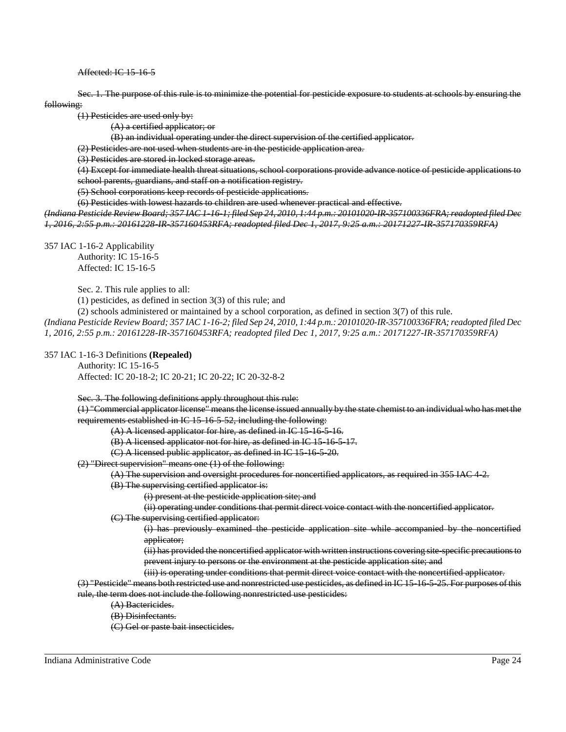Affected: IC 15-16-5

Sec. 1. The purpose of this rule is to minimize the potential for pesticide exposure to students at schools by ensuring the following:

(1) Pesticides are used only by:

(A) a certified applicator; or

(B) an individual operating under the direct supervision of the certified applicator.

(2) Pesticides are not used when students are in the pesticide application area.

(3) Pesticides are stored in locked storage areas.

(4) Except for immediate health threat situations, school corporations provide advance notice of pesticide applications to school parents, guardians, and staff on a notification registry.

(5) School corporations keep records of pesticide applications.

(6) Pesticides with lowest hazards to children are used whenever practical and effective.

*(Indiana Pesticide Review Board; 357 IAC 1-16-1; filed Sep 24, 2010, 1:44 p.m.: 20101020-IR-357100336FRA; readopted filed Dec 1, 2016, 2:55 p.m.: 20161228-IR-357160453RFA; readopted filed Dec 1, 2017, 9:25 a.m.: 20171227-IR-357170359RFA)*

357 IAC 1-16-2 Applicability

Authority: IC 15-16-5 Affected: IC 15-16-5

Sec. 2. This rule applies to all:

(1) pesticides, as defined in section 3(3) of this rule; and

(2) schools administered or maintained by a school corporation, as defined in section 3(7) of this rule.

*(Indiana Pesticide Review Board; 357 IAC 1-16-2; filed Sep 24, 2010, 1:44 p.m.: 20101020-IR-357100336FRA; readopted filed Dec 1, 2016, 2:55 p.m.: 20161228-IR-357160453RFA; readopted filed Dec 1, 2017, 9:25 a.m.: 20171227-IR-357170359RFA)*

357 IAC 1-16-3 Definitions **(Repealed)**

Authority: IC 15-16-5 Affected: IC 20-18-2; IC 20-21; IC 20-22; IC 20-32-8-2

Sec. 3. The following definitions apply throughout this rule:

(1) "Commercial applicator license" means the license issued annually by the state chemist to an individual who has met the requirements established in IC 15-16-5-52, including the following:

 $(A)$  A licensed applicator for hire, as defined in IC 15-16-5-16.

(B) A licensed applicator not for hire, as defined in IC 15-16-5-17.

(C) A licensed public applicator, as defined in IC 15-16-5-20.

(2) "Direct supervision" means one (1) of the following:

(A) The supervision and oversight procedures for noncertified applicators, as required in 355 IAC 4-2.

(B) The supervising certified applicator is:

(i) present at the pesticide application site; and

(ii) operating under conditions that permit direct voice contact with the noncertified applicator.

(C) The supervising certified applicator:

(i) has previously examined the pesticide application site while accompanied by the noncertified applicator;

(ii) has provided the noncertified applicator with written instructions covering site-specific precautions to prevent injury to persons or the environment at the pesticide application site; and

(iii) is operating under conditions that permit direct voice contact with the noncertified applicator.

(3) "Pesticide" means both restricted use and nonrestricted use pesticides, as defined in IC 15-16-5-25. For purposes of this rule, the term does not include the following nonrestricted use pesticides:

(A) Bactericides.

(B) Disinfectants.

(C) Gel or paste bait insecticides.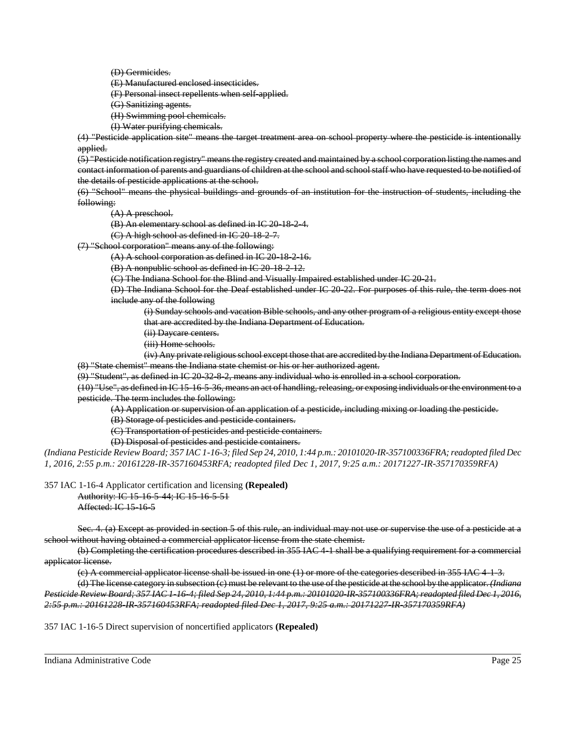(D) Germicides.

(E) Manufactured enclosed insecticides.

(F) Personal insect repellents when self-applied.

(G) Sanitizing agents.

(H) Swimming pool chemicals.

(I) Water purifying chemicals.

(4) "Pesticide application site" means the target treatment area on school property where the pesticide is intentionally applied.

(5) "Pesticide notification registry" means the registry created and maintained by a school corporation listing the names and contact information of parents and guardians of children at the school and school staff who have requested to be notified of the details of pesticide applications at the school.

(6) "School" means the physical buildings and grounds of an institution for the instruction of students, including the following:

(A) A preschool.

(B) An elementary school as defined in IC 20 18 2 4.

 $(C)$  A high school as defined in IC 20-18-2-7.

(7) "School corporation" means any of the following:

(A) A school corporation as defined in IC 20-18-2-16.

(B) A nonpublic school as defined in IC 20-18-2-12.

(C) The Indiana School for the Blind and Visually Impaired established under IC 20-21.

(D) The Indiana School for the Deaf established under IC 20-22. For purposes of this rule, the term does not include any of the following

(i) Sunday schools and vacation Bible schools, and any other program of a religious entity except those that are accredited by the Indiana Department of Education.

- (ii) Daycare centers.
- (iii) Home schools.

(iv) Any private religious school except those that are accredited by the Indiana Department of Education. (8) "State chemist" means the Indiana state chemist or his or her authorized agent.

 $(9)$  "Student", as defined in IC 20-32-8-2, means any individual who is enrolled in a school corporation.

(10) "Use", as defined in IC 15-16-5-36, means an act of handling, releasing, or exposing individuals or the environment to a pesticide. The term includes the following:

(A) Application or supervision of an application of a pesticide, including mixing or loading the pesticide.

(B) Storage of pesticides and pesticide containers.

(C) Transportation of pesticides and pesticide containers.

(D) Disposal of pesticides and pesticide containers.

*(Indiana Pesticide Review Board; 357 IAC 1-16-3; filed Sep 24, 2010, 1:44 p.m.: 20101020-IR-357100336FRA; readopted filed Dec 1, 2016, 2:55 p.m.: 20161228-IR-357160453RFA; readopted filed Dec 1, 2017, 9:25 a.m.: 20171227-IR-357170359RFA)*

357 IAC 1-16-4 Applicator certification and licensing **(Repealed)**

Authority: IC 15-16-5-44; IC 15-16-5-51 Affected: IC 15-16-5

Sec. 4. (a) Except as provided in section 5 of this rule, an individual may not use or supervise the use of a pesticide at a school without having obtained a commercial applicator license from the state chemist.

(b) Completing the certification procedures described in 355 IAC 4-1 shall be a qualifying requirement for a commercial applicator license.

 $(e)$  A commercial applicator license shall be issued in one  $(1)$  or more of the categories described in 355 IAC 4-1-3.

(d) The license category in subsection (c) must be relevant to the use of the pesticide at the school by the applicator. *(Indiana Pesticide Review Board; 357 IAC 1-16-4; filed Sep 24, 2010, 1:44 p.m.: 20101020-IR-357100336FRA; readopted filed Dec 1, 2016, 2:55 p.m.: 20161228-IR-357160453RFA; readopted filed Dec 1, 2017, 9:25 a.m.: 20171227-IR-357170359RFA)*

357 IAC 1-16-5 Direct supervision of noncertified applicators **(Repealed)**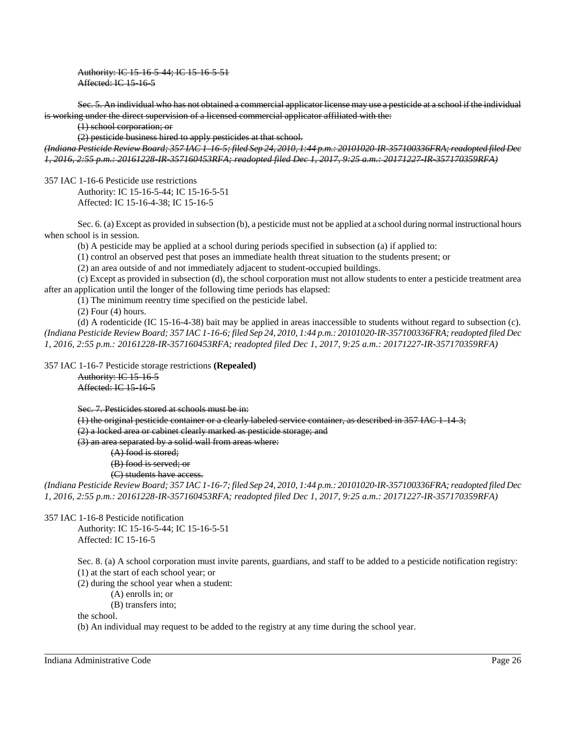Authority: IC 15-16-5-44; IC 15-16-5-51 Affected: IC 15-16-5

Sec. 5. An individual who has not obtained a commercial applicator license may use a pesticide at a school if the individual is working under the direct supervision of a licensed commercial applicator affiliated with the:

(1) school corporation; or

(2) pesticide business hired to apply pesticides at that school.

*(Indiana Pesticide Review Board; 357 IAC 1-16-5; filed Sep 24, 2010, 1:44 p.m.: 20101020-IR-357100336FRA; readopted filed Dec 1, 2016, 2:55 p.m.: 20161228-IR-357160453RFA; readopted filed Dec 1, 2017, 9:25 a.m.: 20171227-IR-357170359RFA)*

357 IAC 1-16-6 Pesticide use restrictions

Authority: IC 15-16-5-44; IC 15-16-5-51 Affected: IC 15-16-4-38; IC 15-16-5

Sec. 6. (a) Except as provided in subsection (b), a pesticide must not be applied at a school during normal instructional hours when school is in session.

(b) A pesticide may be applied at a school during periods specified in subsection (a) if applied to:

(1) control an observed pest that poses an immediate health threat situation to the students present; or

(2) an area outside of and not immediately adjacent to student-occupied buildings.

(c) Except as provided in subsection (d), the school corporation must not allow students to enter a pesticide treatment area after an application until the longer of the following time periods has elapsed:

(1) The minimum reentry time specified on the pesticide label.

(2) Four (4) hours.

(d) A rodenticide (IC 15-16-4-38) bait may be applied in areas inaccessible to students without regard to subsection (c). *(Indiana Pesticide Review Board; 357 IAC 1-16-6; filed Sep 24, 2010, 1:44 p.m.: 20101020-IR-357100336FRA; readopted filed Dec 1, 2016, 2:55 p.m.: 20161228-IR-357160453RFA; readopted filed Dec 1, 2017, 9:25 a.m.: 20171227-IR-357170359RFA)*

357 IAC 1-16-7 Pesticide storage restrictions **(Repealed)**

Authority: IC 15-16-5 Affected: IC 15-16-5

Sec. 7. Pesticides stored at schools must be in: (1) the original pesticide container or a clearly labeled service container, as described in 357 IAC 1-14-3; (2) a locked area or cabinet clearly marked as pesticide storage; and (3) an area separated by a solid wall from areas where:

(A) food is stored; (B) food is served; or

(C) students have access.

*(Indiana Pesticide Review Board; 357 IAC 1-16-7; filed Sep 24, 2010, 1:44 p.m.: 20101020-IR-357100336FRA; readopted filed Dec 1, 2016, 2:55 p.m.: 20161228-IR-357160453RFA; readopted filed Dec 1, 2017, 9:25 a.m.: 20171227-IR-357170359RFA)*

357 IAC 1-16-8 Pesticide notification

Authority: IC 15-16-5-44; IC 15-16-5-51 Affected: IC 15-16-5

Sec. 8. (a) A school corporation must invite parents, guardians, and staff to be added to a pesticide notification registry: (1) at the start of each school year; or

(2) during the school year when a student:

(A) enrolls in; or

(B) transfers into;

the school.

(b) An individual may request to be added to the registry at any time during the school year.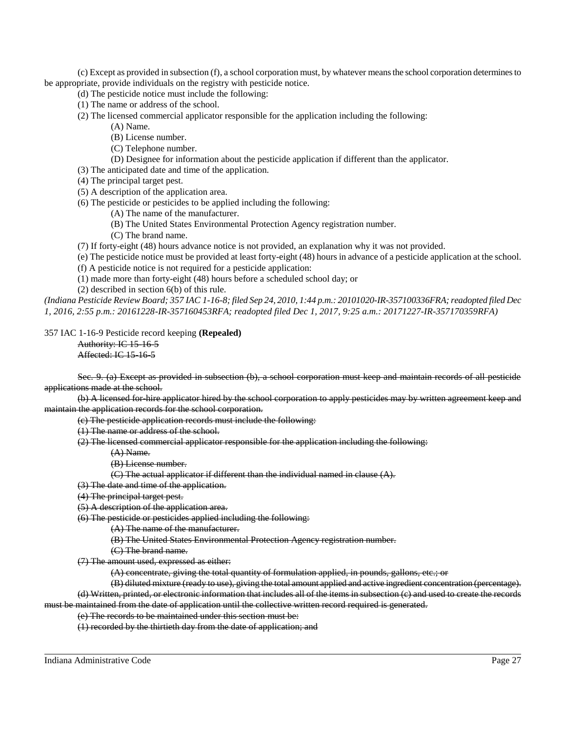(c) Except as provided in subsection (f), a school corporation must, by whatever means the school corporation determines to be appropriate, provide individuals on the registry with pesticide notice.

- (d) The pesticide notice must include the following:
- (1) The name or address of the school.
- (2) The licensed commercial applicator responsible for the application including the following:
	- (A) Name.
	- (B) License number.
	- (C) Telephone number.
	- (D) Designee for information about the pesticide application if different than the applicator.
- (3) The anticipated date and time of the application.
- (4) The principal target pest.
- (5) A description of the application area.
- (6) The pesticide or pesticides to be applied including the following:
	- (A) The name of the manufacturer.
	- (B) The United States Environmental Protection Agency registration number.
	- (C) The brand name.

(7) If forty-eight (48) hours advance notice is not provided, an explanation why it was not provided.

(e) The pesticide notice must be provided at least forty-eight (48) hours in advance of a pesticide application at the school.

- (f) A pesticide notice is not required for a pesticide application:
- (1) made more than forty-eight (48) hours before a scheduled school day; or

(2) described in section 6(b) of this rule.

*(Indiana Pesticide Review Board; 357 IAC 1-16-8; filed Sep 24, 2010, 1:44 p.m.: 20101020-IR-357100336FRA; readopted filed Dec 1, 2016, 2:55 p.m.: 20161228-IR-357160453RFA; readopted filed Dec 1, 2017, 9:25 a.m.: 20171227-IR-357170359RFA)*

357 IAC 1-16-9 Pesticide record keeping **(Repealed)**

Authority: IC 15-16-5 Affected: IC 15-16-5

Sec. 9. (a) Except as provided in subsection (b), a school corporation must keep and maintain records of all pesticide applications made at the school.

(b) A licensed for-hire applicator hired by the school corporation to apply pesticides may by written agreement keep and maintain the application records for the school corporation.

(c) The pesticide application records must include the following:

(1) The name or address of the school.

(2) The licensed commercial applicator responsible for the application including the following:

- (A) Name.
- (B) License number.
- $(C)$  The actual applicator if different than the individual named in clause  $(A)$ .
- (3) The date and time of the application.
- (4) The principal target pest.
- (5) A description of the application area.

(6) The pesticide or pesticides applied including the following:

- (A) The name of the manufacturer.
- (B) The United States Environmental Protection Agency registration number.
- (C) The brand name.

(7) The amount used, expressed as either:

(A) concentrate, giving the total quantity of formulation applied, in pounds, gallons, etc.; or

(B) diluted mixture (ready to use), giving the total amount applied and active ingredient concentration (percentage). (d) Written, printed, or electronic information that includes all of the items in subsection (c) and used to create the records

must be maintained from the date of application until the collective written record required is generated.

(e) The records to be maintained under this section must be:

(1) recorded by the thirtieth day from the date of application; and